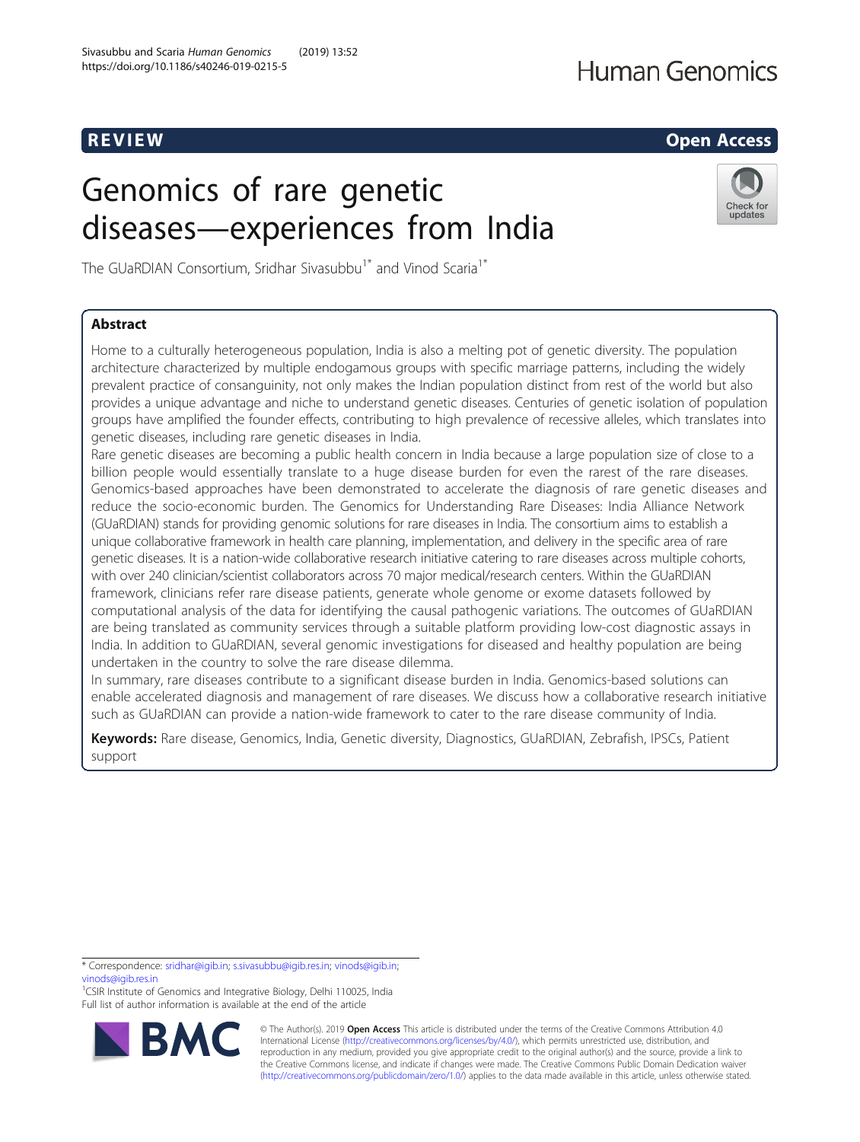# Genomics of rare genetic diseases—experiences from India

The GUaRDIAN Consortium, Sridhar Sivasubbu<sup>1\*</sup> and Vinod Scaria<sup>1\*</sup>

## Abstract

Home to a culturally heterogeneous population, India is also a melting pot of genetic diversity. The population architecture characterized by multiple endogamous groups with specific marriage patterns, including the widely prevalent practice of consanguinity, not only makes the Indian population distinct from rest of the world but also provides a unique advantage and niche to understand genetic diseases. Centuries of genetic isolation of population groups have amplified the founder effects, contributing to high prevalence of recessive alleles, which translates into genetic diseases, including rare genetic diseases in India.

Rare genetic diseases are becoming a public health concern in India because a large population size of close to a billion people would essentially translate to a huge disease burden for even the rarest of the rare diseases. Genomics-based approaches have been demonstrated to accelerate the diagnosis of rare genetic diseases and reduce the socio-economic burden. The Genomics for Understanding Rare Diseases: India Alliance Network (GUaRDIAN) stands for providing genomic solutions for rare diseases in India. The consortium aims to establish a unique collaborative framework in health care planning, implementation, and delivery in the specific area of rare genetic diseases. It is a nation-wide collaborative research initiative catering to rare diseases across multiple cohorts, with over 240 clinician/scientist collaborators across 70 major medical/research centers. Within the GUaRDIAN framework, clinicians refer rare disease patients, generate whole genome or exome datasets followed by computational analysis of the data for identifying the causal pathogenic variations. The outcomes of GUaRDIAN are being translated as community services through a suitable platform providing low-cost diagnostic assays in India. In addition to GUaRDIAN, several genomic investigations for diseased and healthy population are being undertaken in the country to solve the rare disease dilemma.

In summary, rare diseases contribute to a significant disease burden in India. Genomics-based solutions can enable accelerated diagnosis and management of rare diseases. We discuss how a collaborative research initiative such as GUaRDIAN can provide a nation-wide framework to cater to the rare disease community of India.

Keywords: Rare disease, Genomics, India, Genetic diversity, Diagnostics, GUaRDIAN, Zebrafish, IPSCs, Patient support

\* Correspondence: [sridhar@igib.in](mailto:sridhar@igib.in); [s.sivasubbu@igib.res.in](mailto:s.sivasubbu@igib.res.in); [vinods@igib.in](mailto:vinods@igib.in); [vinods@igib.res.in](mailto:vinods@igib.res.in)

<sup>1</sup>CSIR Institute of Genomics and Integrative Biology, Delhi 110025, India Full list of author information is available at the end of the article







R EVI EW Open Access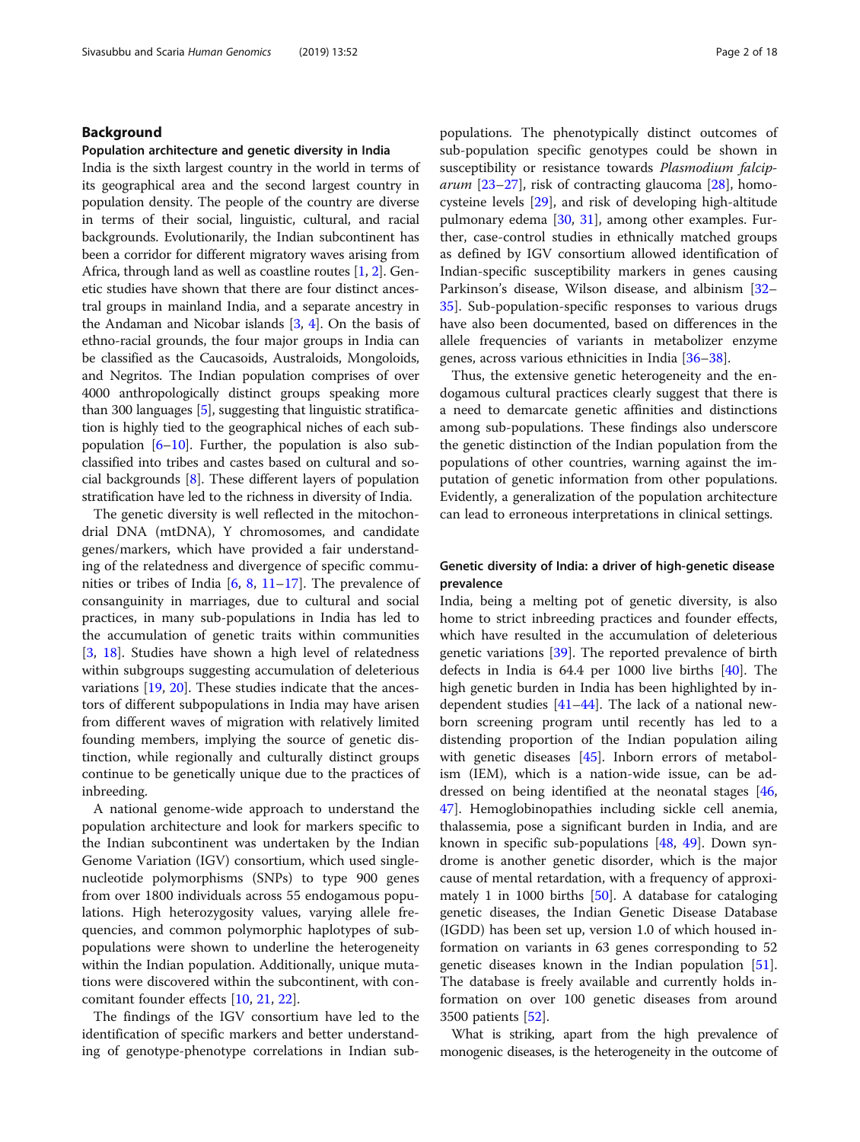#### Background

#### Population architecture and genetic diversity in India

India is the sixth largest country in the world in terms of its geographical area and the second largest country in population density. The people of the country are diverse in terms of their social, linguistic, cultural, and racial backgrounds. Evolutionarily, the Indian subcontinent has been a corridor for different migratory waves arising from Africa, through land as well as coastline routes [\[1,](#page-13-0) [2](#page-13-0)]. Genetic studies have shown that there are four distinct ancestral groups in mainland India, and a separate ancestry in the Andaman and Nicobar islands  $[3, 4]$  $[3, 4]$  $[3, 4]$ . On the basis of ethno-racial grounds, the four major groups in India can be classified as the Caucasoids, Australoids, Mongoloids, and Negritos. The Indian population comprises of over 4000 anthropologically distinct groups speaking more than 300 languages [\[5\]](#page-13-0), suggesting that linguistic stratification is highly tied to the geographical niches of each subpopulation  $[6–10]$  $[6–10]$  $[6–10]$  $[6–10]$ . Further, the population is also subclassified into tribes and castes based on cultural and social backgrounds [\[8](#page-13-0)]. These different layers of population stratification have led to the richness in diversity of India.

The genetic diversity is well reflected in the mitochondrial DNA (mtDNA), Y chromosomes, and candidate genes/markers, which have provided a fair understanding of the relatedness and divergence of specific communities or tribes of India [\[6,](#page-13-0) [8,](#page-13-0) [11](#page-13-0)–[17\]](#page-13-0). The prevalence of consanguinity in marriages, due to cultural and social practices, in many sub-populations in India has led to the accumulation of genetic traits within communities [[3,](#page-13-0) [18](#page-13-0)]. Studies have shown a high level of relatedness within subgroups suggesting accumulation of deleterious variations [[19](#page-13-0), [20](#page-13-0)]. These studies indicate that the ancestors of different subpopulations in India may have arisen from different waves of migration with relatively limited founding members, implying the source of genetic distinction, while regionally and culturally distinct groups continue to be genetically unique due to the practices of inbreeding.

A national genome-wide approach to understand the population architecture and look for markers specific to the Indian subcontinent was undertaken by the Indian Genome Variation (IGV) consortium, which used singlenucleotide polymorphisms (SNPs) to type 900 genes from over 1800 individuals across 55 endogamous populations. High heterozygosity values, varying allele frequencies, and common polymorphic haplotypes of subpopulations were shown to underline the heterogeneity within the Indian population. Additionally, unique mutations were discovered within the subcontinent, with concomitant founder effects [[10,](#page-13-0) [21,](#page-13-0) [22\]](#page-13-0).

The findings of the IGV consortium have led to the identification of specific markers and better understanding of genotype-phenotype correlations in Indian sub-

populations. The phenotypically distinct outcomes of sub-population specific genotypes could be shown in susceptibility or resistance towards Plasmodium falcip*arum* [[23](#page-14-0)–[27](#page-14-0)], risk of contracting glaucoma [[28\]](#page-14-0), homocysteine levels [\[29](#page-14-0)], and risk of developing high-altitude pulmonary edema  $[30, 31]$  $[30, 31]$  $[30, 31]$ , among other examples. Further, case-control studies in ethnically matched groups as defined by IGV consortium allowed identification of Indian-specific susceptibility markers in genes causing Parkinson's disease, Wilson disease, and albinism [[32](#page-14-0)– [35\]](#page-14-0). Sub-population-specific responses to various drugs have also been documented, based on differences in the allele frequencies of variants in metabolizer enzyme genes, across various ethnicities in India [\[36](#page-14-0)–[38](#page-14-0)].

Thus, the extensive genetic heterogeneity and the endogamous cultural practices clearly suggest that there is a need to demarcate genetic affinities and distinctions among sub-populations. These findings also underscore the genetic distinction of the Indian population from the populations of other countries, warning against the imputation of genetic information from other populations. Evidently, a generalization of the population architecture can lead to erroneous interpretations in clinical settings.

#### Genetic diversity of India: a driver of high-genetic disease prevalence

India, being a melting pot of genetic diversity, is also home to strict inbreeding practices and founder effects, which have resulted in the accumulation of deleterious genetic variations [[39](#page-14-0)]. The reported prevalence of birth defects in India is 64.4 per 1000 live births [\[40](#page-14-0)]. The high genetic burden in India has been highlighted by independent studies  $[41-44]$  $[41-44]$  $[41-44]$  $[41-44]$  $[41-44]$ . The lack of a national newborn screening program until recently has led to a distending proportion of the Indian population ailing with genetic diseases [\[45\]](#page-14-0). Inborn errors of metabolism (IEM), which is a nation-wide issue, can be addressed on being identified at the neonatal stages [[46](#page-14-0), [47\]](#page-14-0). Hemoglobinopathies including sickle cell anemia, thalassemia, pose a significant burden in India, and are known in specific sub-populations [[48,](#page-14-0) [49\]](#page-14-0). Down syndrome is another genetic disorder, which is the major cause of mental retardation, with a frequency of approximately 1 in 1000 births [[50\]](#page-14-0). A database for cataloging genetic diseases, the Indian Genetic Disease Database (IGDD) has been set up, version 1.0 of which housed information on variants in 63 genes corresponding to 52 genetic diseases known in the Indian population [\[51](#page-14-0)]. The database is freely available and currently holds information on over 100 genetic diseases from around 3500 patients [\[52](#page-14-0)].

What is striking, apart from the high prevalence of monogenic diseases, is the heterogeneity in the outcome of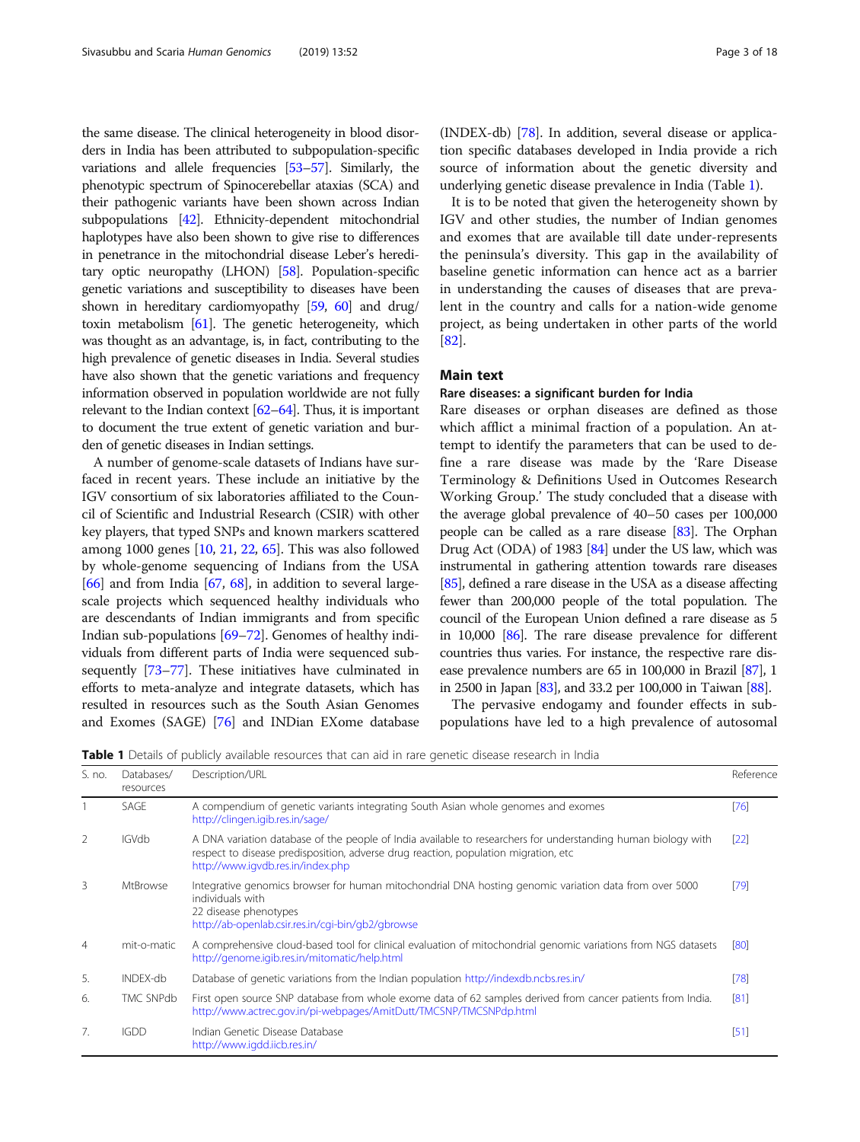the same disease. The clinical heterogeneity in blood disorders in India has been attributed to subpopulation-specific variations and allele frequencies [\[53](#page-14-0)–[57\]](#page-14-0). Similarly, the phenotypic spectrum of Spinocerebellar ataxias (SCA) and their pathogenic variants have been shown across Indian subpopulations [[42\]](#page-14-0). Ethnicity-dependent mitochondrial haplotypes have also been shown to give rise to differences in penetrance in the mitochondrial disease Leber's hereditary optic neuropathy (LHON) [[58\]](#page-14-0). Population-specific genetic variations and susceptibility to diseases have been shown in hereditary cardiomyopathy [\[59,](#page-14-0) [60](#page-14-0)] and drug/ toxin metabolism [\[61\]](#page-14-0). The genetic heterogeneity, which was thought as an advantage, is, in fact, contributing to the high prevalence of genetic diseases in India. Several studies have also shown that the genetic variations and frequency information observed in population worldwide are not fully relevant to the Indian context [\[62](#page-14-0)–[64\]](#page-14-0). Thus, it is important to document the true extent of genetic variation and burden of genetic diseases in Indian settings.

A number of genome-scale datasets of Indians have surfaced in recent years. These include an initiative by the IGV consortium of six laboratories affiliated to the Council of Scientific and Industrial Research (CSIR) with other key players, that typed SNPs and known markers scattered among 1000 genes [[10](#page-13-0), [21,](#page-13-0) [22,](#page-13-0) [65](#page-14-0)]. This was also followed by whole-genome sequencing of Indians from the USA  $[66]$  $[66]$  $[66]$  and from India  $[67, 68]$  $[67, 68]$  $[67, 68]$  $[67, 68]$ , in addition to several largescale projects which sequenced healthy individuals who are descendants of Indian immigrants and from specific Indian sub-populations [\[69](#page-15-0)–[72\]](#page-15-0). Genomes of healthy individuals from different parts of India were sequenced subsequently [[73](#page-15-0)–[77\]](#page-15-0). These initiatives have culminated in efforts to meta-analyze and integrate datasets, which has resulted in resources such as the South Asian Genomes and Exomes (SAGE) [[76](#page-15-0)] and INDian EXome database

(INDEX-db) [\[78\]](#page-15-0). In addition, several disease or application specific databases developed in India provide a rich source of information about the genetic diversity and underlying genetic disease prevalence in India (Table 1).

It is to be noted that given the heterogeneity shown by IGV and other studies, the number of Indian genomes and exomes that are available till date under-represents the peninsula's diversity. This gap in the availability of baseline genetic information can hence act as a barrier in understanding the causes of diseases that are prevalent in the country and calls for a nation-wide genome project, as being undertaken in other parts of the world [[82\]](#page-15-0).

#### Main text

#### Rare diseases: a significant burden for India

Rare diseases or orphan diseases are defined as those which afflict a minimal fraction of a population. An attempt to identify the parameters that can be used to define a rare disease was made by the 'Rare Disease Terminology & Definitions Used in Outcomes Research Working Group.' The study concluded that a disease with the average global prevalence of 40–50 cases per 100,000 people can be called as a rare disease [[83](#page-15-0)]. The Orphan Drug Act (ODA) of 1983 [\[84\]](#page-15-0) under the US law, which was instrumental in gathering attention towards rare diseases [[85](#page-15-0)], defined a rare disease in the USA as a disease affecting fewer than 200,000 people of the total population. The council of the European Union defined a rare disease as 5 in 10,000 [[86](#page-15-0)]. The rare disease prevalence for different countries thus varies. For instance, the respective rare disease prevalence numbers are 65 in 100,000 in Brazil [\[87\]](#page-15-0), 1 in 2500 in Japan [\[83](#page-15-0)], and 33.2 per 100,000 in Taiwan [\[88](#page-15-0)].

The pervasive endogamy and founder effects in subpopulations have led to a high prevalence of autosomal

Table 1 Details of publicly available resources that can aid in rare genetic disease research in India

| S. no.         | Databases/<br>resources | Description/URL                                                                                                                                                                                                                            | Reference |
|----------------|-------------------------|--------------------------------------------------------------------------------------------------------------------------------------------------------------------------------------------------------------------------------------------|-----------|
|                | SAGE                    | A compendium of genetic variants integrating South Asian whole genomes and exomes<br>http://clingen.igib.res.in/sage/                                                                                                                      | [76]      |
| $\mathcal{P}$  | <b>IGVdb</b>            | A DNA variation database of the people of India available to researchers for understanding human biology with<br>respect to disease predisposition, adverse drug reaction, population migration, etc.<br>http://www.igvdb.res.in/index.php | [22]      |
| 3              | <b>MtBrowse</b>         | Integrative genomics browser for human mitochondrial DNA hosting genomic variation data from over 5000<br>individuals with<br>22 disease phenotypes<br>http://ab-openlab.csir.res.in/cgi-bin/gb2/gbrowse                                   | [79]      |
| $\overline{4}$ | mit-o-matic             | A comprehensive cloud-based tool for clinical evaluation of mitochondrial genomic variations from NGS datasets<br>http://genome.igib.res.in/mitomatic/help.html                                                                            | [80]      |
| 5.             | INDEX-db                | Database of genetic variations from the Indian population http://indexdb.ncbs.res.in/                                                                                                                                                      | $[78]$    |
| 6.             | <b>TMC SNPdb</b>        | First open source SNP database from whole exome data of 62 samples derived from cancer patients from India.<br>http://www.actrec.gov.in/pi-webpages/AmitDutt/TMCSNP/TMCSNPdp.html                                                          | [81]      |
| 7.             | <b>IGDD</b>             | Indian Genetic Disease Database<br>http://www.igdd.iicb.res.in/                                                                                                                                                                            | $[51]$    |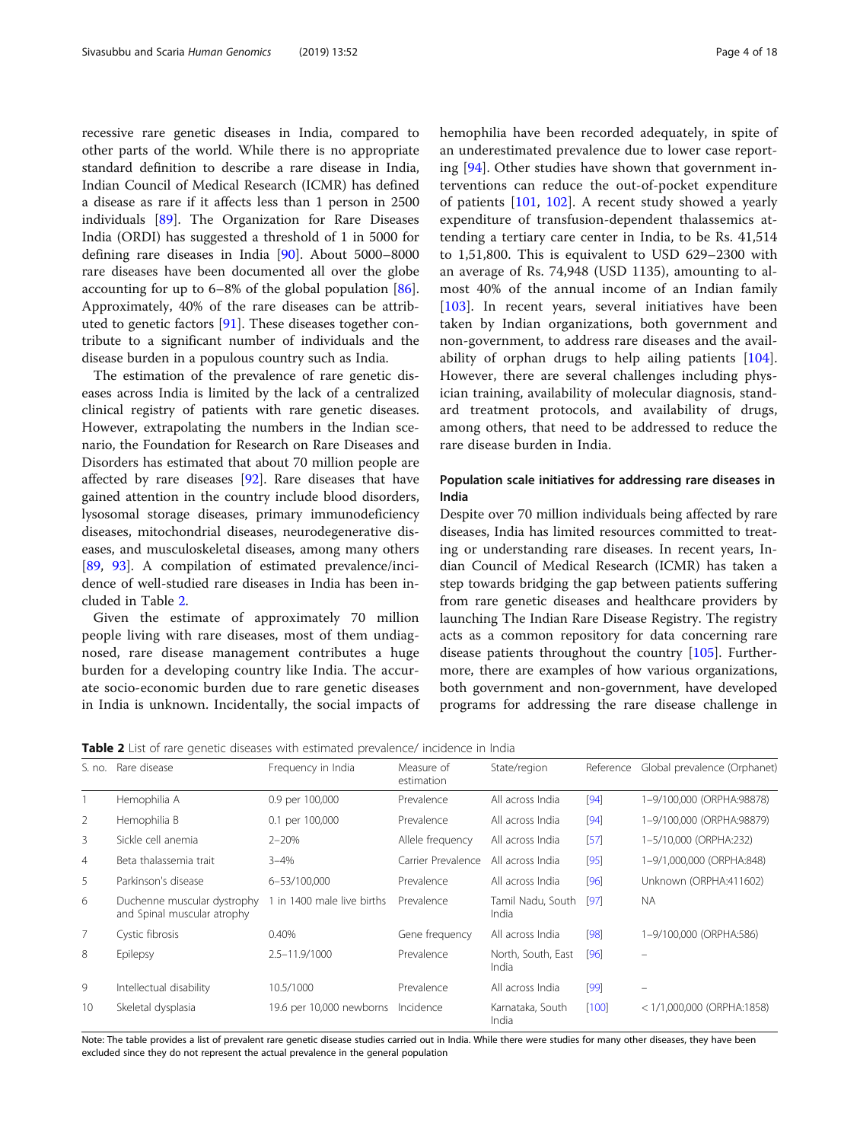recessive rare genetic diseases in India, compared to other parts of the world. While there is no appropriate standard definition to describe a rare disease in India, Indian Council of Medical Research (ICMR) has defined a disease as rare if it affects less than 1 person in 2500 individuals [\[89\]](#page-15-0). The Organization for Rare Diseases India (ORDI) has suggested a threshold of 1 in 5000 for defining rare diseases in India [[90\]](#page-15-0). About 5000–8000 rare diseases have been documented all over the globe accounting for up to 6–8% of the global population [\[86](#page-15-0)]. Approximately, 40% of the rare diseases can be attributed to genetic factors [\[91](#page-15-0)]. These diseases together contribute to a significant number of individuals and the disease burden in a populous country such as India.

The estimation of the prevalence of rare genetic diseases across India is limited by the lack of a centralized clinical registry of patients with rare genetic diseases. However, extrapolating the numbers in the Indian scenario, the Foundation for Research on Rare Diseases and Disorders has estimated that about 70 million people are affected by rare diseases [[92\]](#page-15-0). Rare diseases that have gained attention in the country include blood disorders, lysosomal storage diseases, primary immunodeficiency diseases, mitochondrial diseases, neurodegenerative diseases, and musculoskeletal diseases, among many others [[89,](#page-15-0) [93\]](#page-15-0). A compilation of estimated prevalence/incidence of well-studied rare diseases in India has been included in Table 2.

Given the estimate of approximately 70 million people living with rare diseases, most of them undiagnosed, rare disease management contributes a huge burden for a developing country like India. The accurate socio-economic burden due to rare genetic diseases in India is unknown. Incidentally, the social impacts of

hemophilia have been recorded adequately, in spite of an underestimated prevalence due to lower case reporting [[94](#page-15-0)]. Other studies have shown that government interventions can reduce the out-of-pocket expenditure of patients [[101](#page-15-0), [102](#page-15-0)]. A recent study showed a yearly expenditure of transfusion-dependent thalassemics attending a tertiary care center in India, to be Rs. 41,514 to 1,51,800. This is equivalent to USD 629–2300 with an average of Rs. 74,948 (USD 1135), amounting to almost 40% of the annual income of an Indian family [[103\]](#page-15-0). In recent years, several initiatives have been taken by Indian organizations, both government and non-government, to address rare diseases and the availability of orphan drugs to help ailing patients [\[104](#page-15-0)]. However, there are several challenges including physician training, availability of molecular diagnosis, standard treatment protocols, and availability of drugs, among others, that need to be addressed to reduce the rare disease burden in India.

### Population scale initiatives for addressing rare diseases in India

Despite over 70 million individuals being affected by rare diseases, India has limited resources committed to treating or understanding rare diseases. In recent years, Indian Council of Medical Research (ICMR) has taken a step towards bridging the gap between patients suffering from rare genetic diseases and healthcare providers by launching The Indian Rare Disease Registry. The registry acts as a common repository for data concerning rare disease patients throughout the country [\[105\]](#page-15-0). Furthermore, there are examples of how various organizations, both government and non-government, have developed programs for addressing the rare disease challenge in

Table 2 List of rare genetic diseases with estimated prevalence/ incidence in India

| S. no.         | Rare disease                                               | Frequency in India         | Measure of<br>estimation | State/region                | Reference | Global prevalence (Orphanet) |
|----------------|------------------------------------------------------------|----------------------------|--------------------------|-----------------------------|-----------|------------------------------|
|                | Hemophilia A                                               | 0.9 per 100,000            | Prevalence               | All across India            | [94]      | 1-9/100.000 (ORPHA:98878)    |
| 2              | Hemophilia B                                               | 0.1 per 100,000            | Prevalence               | All across India            | [94]      | 1-9/100,000 (ORPHA:98879)    |
| 3              | Sickle cell anemia                                         | $2 - 20%$                  | Allele frequency         | All across India            | [57]      | 1-5/10,000 (ORPHA:232)       |
| $\overline{4}$ | Beta thalassemia trait                                     | $3 - 4%$                   | Carrier Prevalence       | All across India            | [95]      | 1-9/1,000,000 (ORPHA:848)    |
| 5              | Parkinson's disease                                        | 6-53/100,000               | Prevalence               | All across India            | [96]      | Unknown (ORPHA:411602)       |
| 6              | Duchenne muscular dystrophy<br>and Spinal muscular atrophy | 1 in 1400 male live births | Prevalence               | Tamil Nadu, South<br>India  | [97]      | <b>NA</b>                    |
| $\overline{7}$ | Cystic fibrosis                                            | 0.40%                      | Gene frequency           | All across India            | [98]      | 1-9/100,000 (ORPHA:586)      |
| 8              | Epilepsy                                                   | 2.5-11.9/1000              | Prevalence               | North, South, East<br>India | [96]      |                              |
| 9              | Intellectual disability                                    | 10.5/1000                  | Prevalence               | All across India            | [99]      | $\qquad \qquad =$            |
| 10             | Skeletal dysplasia                                         | 19.6 per 10,000 newborns   | Incidence                | Karnataka, South<br>India   | [100]     | $<$ 1/1,000,000 (ORPHA:1858) |

Note: The table provides a list of prevalent rare genetic disease studies carried out in India. While there were studies for many other diseases, they have been excluded since they do not represent the actual prevalence in the general population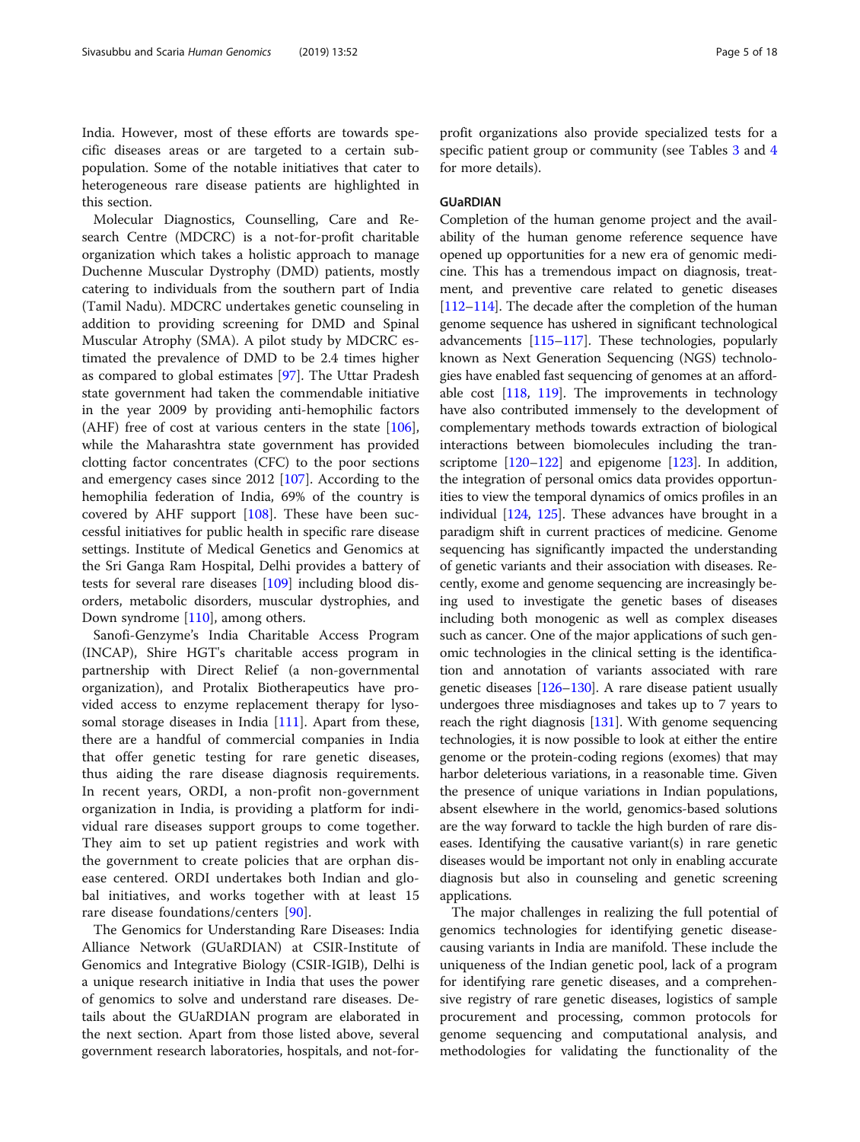Molecular Diagnostics, Counselling, Care and Research Centre (MDCRC) is a not-for-profit charitable organization which takes a holistic approach to manage Duchenne Muscular Dystrophy (DMD) patients, mostly catering to individuals from the southern part of India (Tamil Nadu). MDCRC undertakes genetic counseling in addition to providing screening for DMD and Spinal Muscular Atrophy (SMA). A pilot study by MDCRC estimated the prevalence of DMD to be 2.4 times higher as compared to global estimates [\[97](#page-15-0)]. The Uttar Pradesh state government had taken the commendable initiative in the year 2009 by providing anti-hemophilic factors (AHF) free of cost at various centers in the state [\[106](#page-15-0)], while the Maharashtra state government has provided clotting factor concentrates (CFC) to the poor sections and emergency cases since 2012 [[107](#page-15-0)]. According to the hemophilia federation of India, 69% of the country is covered by AHF support  $[108]$  $[108]$  $[108]$ . These have been successful initiatives for public health in specific rare disease settings. Institute of Medical Genetics and Genomics at the Sri Ganga Ram Hospital, Delhi provides a battery of tests for several rare diseases [[109\]](#page-15-0) including blood disorders, metabolic disorders, muscular dystrophies, and Down syndrome [\[110](#page-15-0)], among others.

Sanofi-Genzyme's India Charitable Access Program (INCAP), Shire HGT's charitable access program in partnership with Direct Relief (a non-governmental organization), and Protalix Biotherapeutics have provided access to enzyme replacement therapy for lyso-somal storage diseases in India [[111\]](#page-15-0). Apart from these, there are a handful of commercial companies in India that offer genetic testing for rare genetic diseases, thus aiding the rare disease diagnosis requirements. In recent years, ORDI, a non-profit non-government organization in India, is providing a platform for individual rare diseases support groups to come together. They aim to set up patient registries and work with the government to create policies that are orphan disease centered. ORDI undertakes both Indian and global initiatives, and works together with at least 15 rare disease foundations/centers [\[90](#page-15-0)].

The Genomics for Understanding Rare Diseases: India Alliance Network (GUaRDIAN) at CSIR-Institute of Genomics and Integrative Biology (CSIR-IGIB), Delhi is a unique research initiative in India that uses the power of genomics to solve and understand rare diseases. Details about the GUaRDIAN program are elaborated in the next section. Apart from those listed above, several government research laboratories, hospitals, and not-for-

profit organizations also provide specialized tests for a specific patient group or community (see Tables [3](#page-5-0) and [4](#page-6-0) for more details).

#### GUaRDIAN

Completion of the human genome project and the availability of the human genome reference sequence have opened up opportunities for a new era of genomic medicine. This has a tremendous impact on diagnosis, treatment, and preventive care related to genetic diseases [[112](#page-15-0)–[114\]](#page-15-0). The decade after the completion of the human genome sequence has ushered in significant technological advancements [[115](#page-15-0)–[117](#page-15-0)]. These technologies, popularly known as Next Generation Sequencing (NGS) technologies have enabled fast sequencing of genomes at an affordable cost [[118](#page-15-0), [119\]](#page-15-0). The improvements in technology have also contributed immensely to the development of complementary methods towards extraction of biological interactions between biomolecules including the tran-scriptome [\[120](#page-15-0)–[122](#page-15-0)] and epigenome [[123](#page-15-0)]. In addition, the integration of personal omics data provides opportunities to view the temporal dynamics of omics profiles in an individual [\[124,](#page-15-0) [125](#page-15-0)]. These advances have brought in a paradigm shift in current practices of medicine. Genome sequencing has significantly impacted the understanding of genetic variants and their association with diseases. Recently, exome and genome sequencing are increasingly being used to investigate the genetic bases of diseases including both monogenic as well as complex diseases such as cancer. One of the major applications of such genomic technologies in the clinical setting is the identification and annotation of variants associated with rare genetic diseases [[126](#page-15-0)–[130\]](#page-16-0). A rare disease patient usually undergoes three misdiagnoses and takes up to 7 years to reach the right diagnosis  $[131]$  $[131]$  $[131]$ . With genome sequencing technologies, it is now possible to look at either the entire genome or the protein-coding regions (exomes) that may harbor deleterious variations, in a reasonable time. Given the presence of unique variations in Indian populations, absent elsewhere in the world, genomics-based solutions are the way forward to tackle the high burden of rare diseases. Identifying the causative variant(s) in rare genetic diseases would be important not only in enabling accurate diagnosis but also in counseling and genetic screening applications.

The major challenges in realizing the full potential of genomics technologies for identifying genetic diseasecausing variants in India are manifold. These include the uniqueness of the Indian genetic pool, lack of a program for identifying rare genetic diseases, and a comprehensive registry of rare genetic diseases, logistics of sample procurement and processing, common protocols for genome sequencing and computational analysis, and methodologies for validating the functionality of the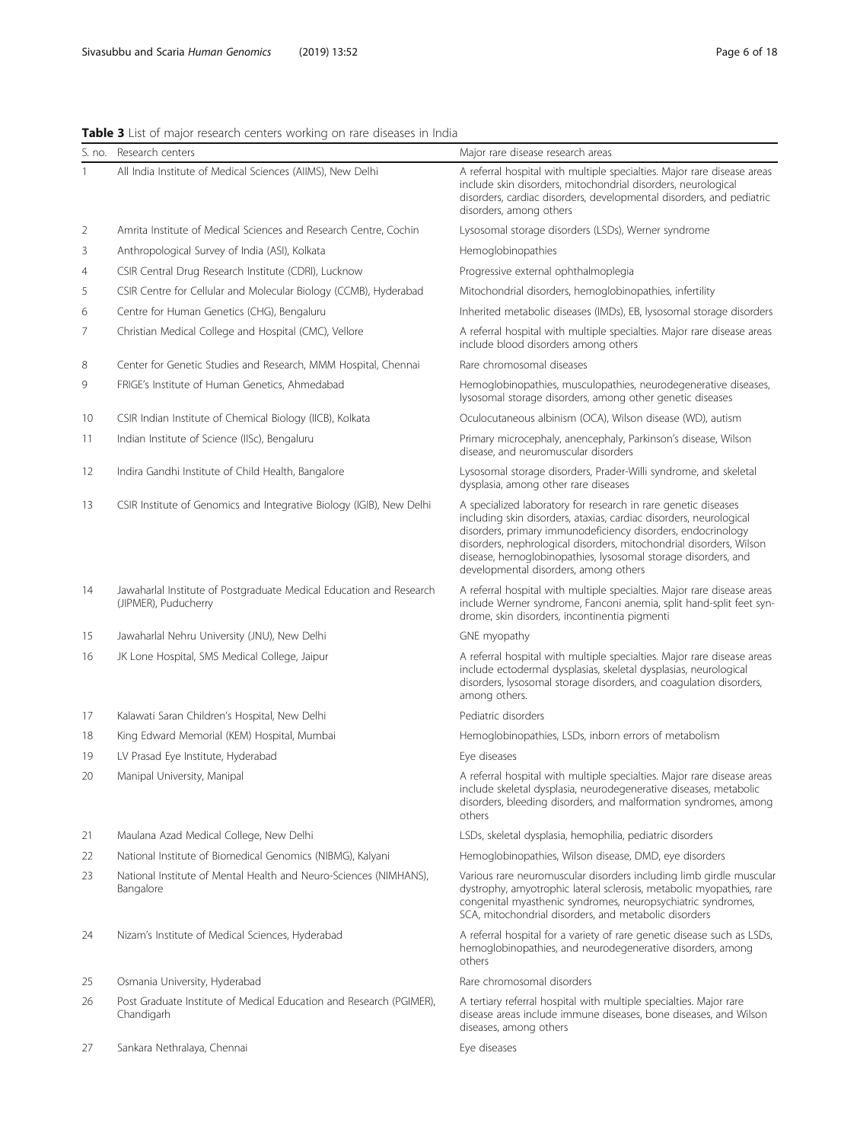# <span id="page-5-0"></span>Table 3 List of major research centers working on rare diseases in India

| S. no.         | Research centers                                                                            | Major rare disease research areas                                                                                                                                                                                                                                                                                                                                                     |  |
|----------------|---------------------------------------------------------------------------------------------|---------------------------------------------------------------------------------------------------------------------------------------------------------------------------------------------------------------------------------------------------------------------------------------------------------------------------------------------------------------------------------------|--|
| 1              | All India Institute of Medical Sciences (AIIMS), New Delhi                                  | A referral hospital with multiple specialties. Major rare disease areas<br>include skin disorders, mitochondrial disorders, neurological<br>disorders, cardiac disorders, developmental disorders, and pediatric<br>disorders, among others                                                                                                                                           |  |
| 2              | Amrita Institute of Medical Sciences and Research Centre, Cochin                            | Lysosomal storage disorders (LSDs), Werner syndrome                                                                                                                                                                                                                                                                                                                                   |  |
| 3              | Anthropological Survey of India (ASI), Kolkata                                              | Hemoglobinopathies                                                                                                                                                                                                                                                                                                                                                                    |  |
| $\overline{4}$ | CSIR Central Drug Research Institute (CDRI), Lucknow                                        | Progressive external ophthalmoplegia                                                                                                                                                                                                                                                                                                                                                  |  |
| 5              | CSIR Centre for Cellular and Molecular Biology (CCMB), Hyderabad                            | Mitochondrial disorders, hemoglobinopathies, infertility                                                                                                                                                                                                                                                                                                                              |  |
| 6              | Centre for Human Genetics (CHG), Bengaluru                                                  | Inherited metabolic diseases (IMDs), EB, lysosomal storage disorders                                                                                                                                                                                                                                                                                                                  |  |
| 7              | Christian Medical College and Hospital (CMC), Vellore                                       | A referral hospital with multiple specialties. Major rare disease areas<br>include blood disorders among others                                                                                                                                                                                                                                                                       |  |
| 8              | Center for Genetic Studies and Research, MMM Hospital, Chennai                              | Rare chromosomal diseases                                                                                                                                                                                                                                                                                                                                                             |  |
| 9              | FRIGE's Institute of Human Genetics, Ahmedabad                                              | Hemoglobinopathies, musculopathies, neurodegenerative diseases,<br>lysosomal storage disorders, among other genetic diseases                                                                                                                                                                                                                                                          |  |
| 10             | CSIR Indian Institute of Chemical Biology (IICB), Kolkata                                   | Oculocutaneous albinism (OCA), Wilson disease (WD), autism                                                                                                                                                                                                                                                                                                                            |  |
| 11             | Indian Institute of Science (IISc), Bengaluru                                               | Primary microcephaly, anencephaly, Parkinson's disease, Wilson<br>disease, and neuromuscular disorders                                                                                                                                                                                                                                                                                |  |
| 12             | Indira Gandhi Institute of Child Health, Bangalore                                          | Lysosomal storage disorders, Prader-Willi syndrome, and skeletal<br>dysplasia, among other rare diseases                                                                                                                                                                                                                                                                              |  |
| 13             | CSIR Institute of Genomics and Integrative Biology (IGIB), New Delhi                        | A specialized laboratory for research in rare genetic diseases<br>including skin disorders, ataxias, cardiac disorders, neurological<br>disorders, primary immunodeficiency disorders, endocrinology<br>disorders, nephrological disorders, mitochondrial disorders, Wilson<br>disease, hemoglobinopathies, lysosomal storage disorders, and<br>developmental disorders, among others |  |
| 14             | Jawaharlal Institute of Postgraduate Medical Education and Research<br>(JIPMER), Puducherry | A referral hospital with multiple specialties. Major rare disease areas<br>include Werner syndrome, Fanconi anemia, split hand-split feet syn-<br>drome, skin disorders, incontinentia pigmenti                                                                                                                                                                                       |  |
| 15             | Jawaharlal Nehru University (JNU), New Delhi                                                | GNE myopathy                                                                                                                                                                                                                                                                                                                                                                          |  |
| 16             | JK Lone Hospital, SMS Medical College, Jaipur                                               | A referral hospital with multiple specialties. Major rare disease areas<br>include ectodermal dysplasias, skeletal dysplasias, neurological<br>disorders, lysosomal storage disorders, and coagulation disorders,<br>among others.                                                                                                                                                    |  |
| 17             | Kalawati Saran Children's Hospital, New Delhi                                               | Pediatric disorders                                                                                                                                                                                                                                                                                                                                                                   |  |
| 18             | King Edward Memorial (KEM) Hospital, Mumbai                                                 | Hemoglobinopathies, LSDs, inborn errors of metabolism                                                                                                                                                                                                                                                                                                                                 |  |
| 19             | LV Prasad Eye Institute, Hyderabad                                                          | Eye diseases                                                                                                                                                                                                                                                                                                                                                                          |  |
| 20             | Manipal University, Manipal                                                                 | A referral hospital with multiple specialties. Major rare disease areas<br>include skeletal dysplasia, neurodegenerative diseases, metabolic<br>disorders, bleeding disorders, and malformation syndromes, among<br>others                                                                                                                                                            |  |
| 21             | Maulana Azad Medical College, New Delhi                                                     | LSDs, skeletal dysplasia, hemophilia, pediatric disorders                                                                                                                                                                                                                                                                                                                             |  |
| 22             | National Institute of Biomedical Genomics (NIBMG), Kalyani                                  | Hemoglobinopathies, Wilson disease, DMD, eye disorders                                                                                                                                                                                                                                                                                                                                |  |
| 23             | National Institute of Mental Health and Neuro-Sciences (NIMHANS),<br>Bangalore              | Various rare neuromuscular disorders including limb girdle muscular<br>dystrophy, amyotrophic lateral sclerosis, metabolic myopathies, rare<br>congenital myasthenic syndromes, neuropsychiatric syndromes,<br>SCA, mitochondrial disorders, and metabolic disorders                                                                                                                  |  |
| 24             | Nizam's Institute of Medical Sciences, Hyderabad                                            | A referral hospital for a variety of rare genetic disease such as LSDs,<br>hemoglobinopathies, and neurodegenerative disorders, among<br>others                                                                                                                                                                                                                                       |  |
| 25             | Osmania University, Hyderabad                                                               | Rare chromosomal disorders                                                                                                                                                                                                                                                                                                                                                            |  |
| 26             | Post Graduate Institute of Medical Education and Research (PGIMER),<br>Chandigarh           | A tertiary referral hospital with multiple specialties. Major rare<br>disease areas include immune diseases, bone diseases, and Wilson<br>diseases, among others                                                                                                                                                                                                                      |  |
| 27             | Sankara Nethralaya, Chennai                                                                 | Eye diseases                                                                                                                                                                                                                                                                                                                                                                          |  |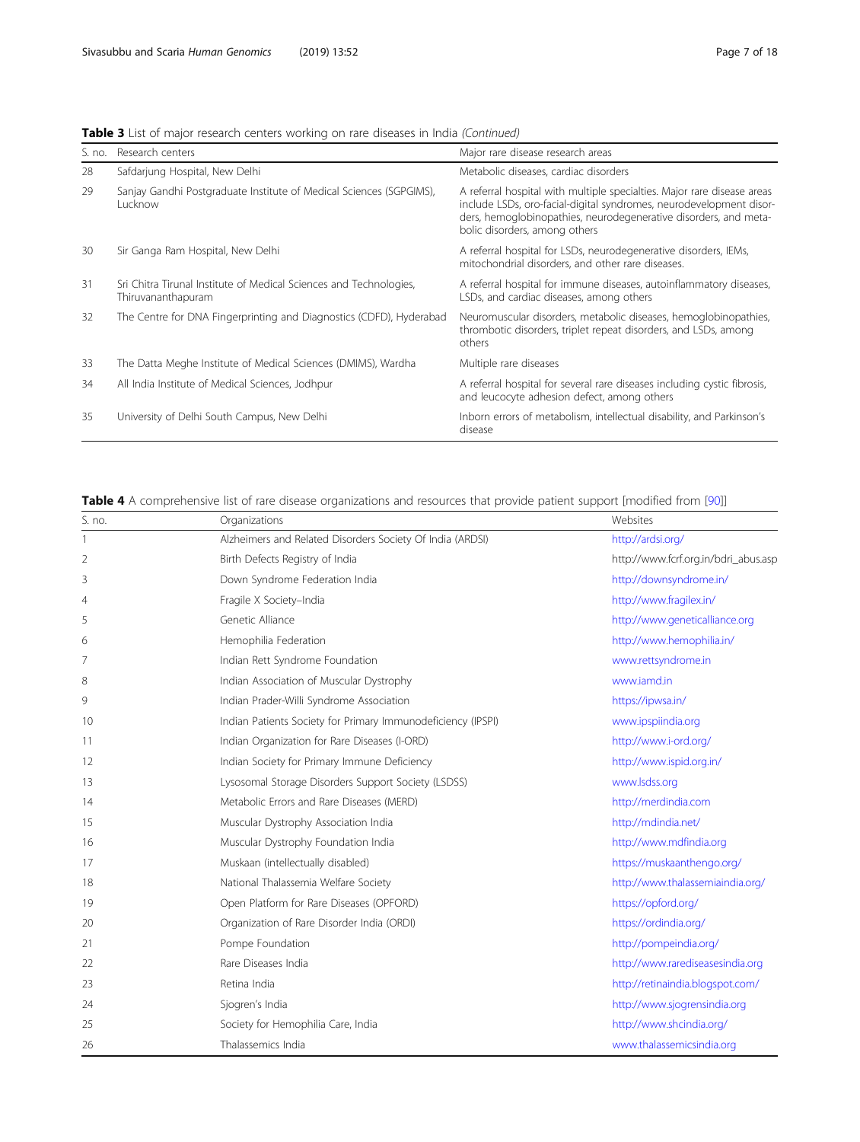<span id="page-6-0"></span>Table 3 List of major research centers working on rare diseases in India (Continued)

| S. no. | Research centers                                                                         | Major rare disease research areas                                                                                                                                                                                                                   |
|--------|------------------------------------------------------------------------------------------|-----------------------------------------------------------------------------------------------------------------------------------------------------------------------------------------------------------------------------------------------------|
| 28     | Safdarjung Hospital, New Delhi                                                           | Metabolic diseases, cardiac disorders                                                                                                                                                                                                               |
| 29     | Sanjay Gandhi Postgraduate Institute of Medical Sciences (SGPGIMS),<br>Lucknow           | A referral hospital with multiple specialties. Major rare disease areas<br>include LSDs, oro-facial-digital syndromes, neurodevelopment disor-<br>ders, hemoglobinopathies, neurodegenerative disorders, and meta-<br>bolic disorders, among others |
| 30     | Sir Ganga Ram Hospital, New Delhi                                                        | A referral hospital for LSDs, neurodegenerative disorders, IEMs,<br>mitochondrial disorders, and other rare diseases.                                                                                                                               |
| 31     | Sri Chitra Tirunal Institute of Medical Sciences and Technologies,<br>Thiruvananthapuram | A referral hospital for immune diseases, autoinflammatory diseases,<br>LSDs, and cardiac diseases, among others                                                                                                                                     |
| 32     | The Centre for DNA Fingerprinting and Diagnostics (CDFD), Hyderabad                      | Neuromuscular disorders, metabolic diseases, hemoglobinopathies,<br>thrombotic disorders, triplet repeat disorders, and LSDs, among<br>others                                                                                                       |
| 33     | The Datta Meghe Institute of Medical Sciences (DMIMS), Wardha                            | Multiple rare diseases                                                                                                                                                                                                                              |
| 34     | All India Institute of Medical Sciences, Jodhpur                                         | A referral hospital for several rare diseases including cystic fibrosis,<br>and leucocyte adhesion defect, among others                                                                                                                             |
| 35     | University of Delhi South Campus, New Delhi                                              | Inborn errors of metabolism, intellectual disability, and Parkinson's<br>disease                                                                                                                                                                    |

### Table 4 A comprehensive list of rare disease organizations and resources that provide patient support [modified from [\[90](#page-15-0)]]

| S. no.         | Organizations                                                | Websites                             |
|----------------|--------------------------------------------------------------|--------------------------------------|
| -1             | Alzheimers and Related Disorders Society Of India (ARDSI)    | http://ardsi.org/                    |
| $\overline{2}$ | Birth Defects Registry of India                              | http://www.fcrf.org.in/bdri_abus.asp |
| 3              | Down Syndrome Federation India                               | http://downsyndrome.in/              |
| 4              | Fragile X Society-India                                      | http://www.fragilex.in/              |
| 5              | Genetic Alliance                                             | http://www.geneticalliance.org       |
| 6              | Hemophilia Federation                                        | http://www.hemophilia.in/            |
| 7              | Indian Rett Syndrome Foundation                              | www.rettsyndrome.in                  |
| 8              | Indian Association of Muscular Dystrophy                     | www.jamd.in                          |
| 9              | Indian Prader-Willi Syndrome Association                     | https://ipwsa.in/                    |
| 10             | Indian Patients Society for Primary Immunodeficiency (IPSPI) | www.ipspiindia.org                   |
| 11             | Indian Organization for Rare Diseases (I-ORD)                | http://www.i-ord.org/                |
| 12             | Indian Society for Primary Immune Deficiency                 | http://www.ispid.org.in/             |
| 13             | Lysosomal Storage Disorders Support Society (LSDSS)          | www.lsdss.org                        |
| 14             | Metabolic Errors and Rare Diseases (MERD)                    | http://merdindia.com                 |
| 15             | Muscular Dystrophy Association India                         | http://mdindia.net/                  |
| 16             | Muscular Dystrophy Foundation India                          | http://www.mdfindia.org              |
| 17             | Muskaan (intellectually disabled)                            | https://muskaanthengo.org/           |
| 18             | National Thalassemia Welfare Society                         | http://www.thalassemiaindia.org/     |
| 19             | Open Platform for Rare Diseases (OPFORD)                     | https://opford.org/                  |
| 20             | Organization of Rare Disorder India (ORDI)                   | https://ordindia.org/                |
| 21             | Pompe Foundation                                             | http://pompeindia.org/               |
| 22             | Rare Diseases India                                          | http://www.rarediseasesindia.org     |
| 23             | Retina India                                                 | http://retinaindia.blogspot.com/     |
| 24             | Sjogren's India                                              | http://www.sjogrensindia.org         |
| 25             | Society for Hemophilia Care, India                           | http://www.shcindia.org/             |
| 26             | Thalassemics India                                           | www.thalassemicsindia.org            |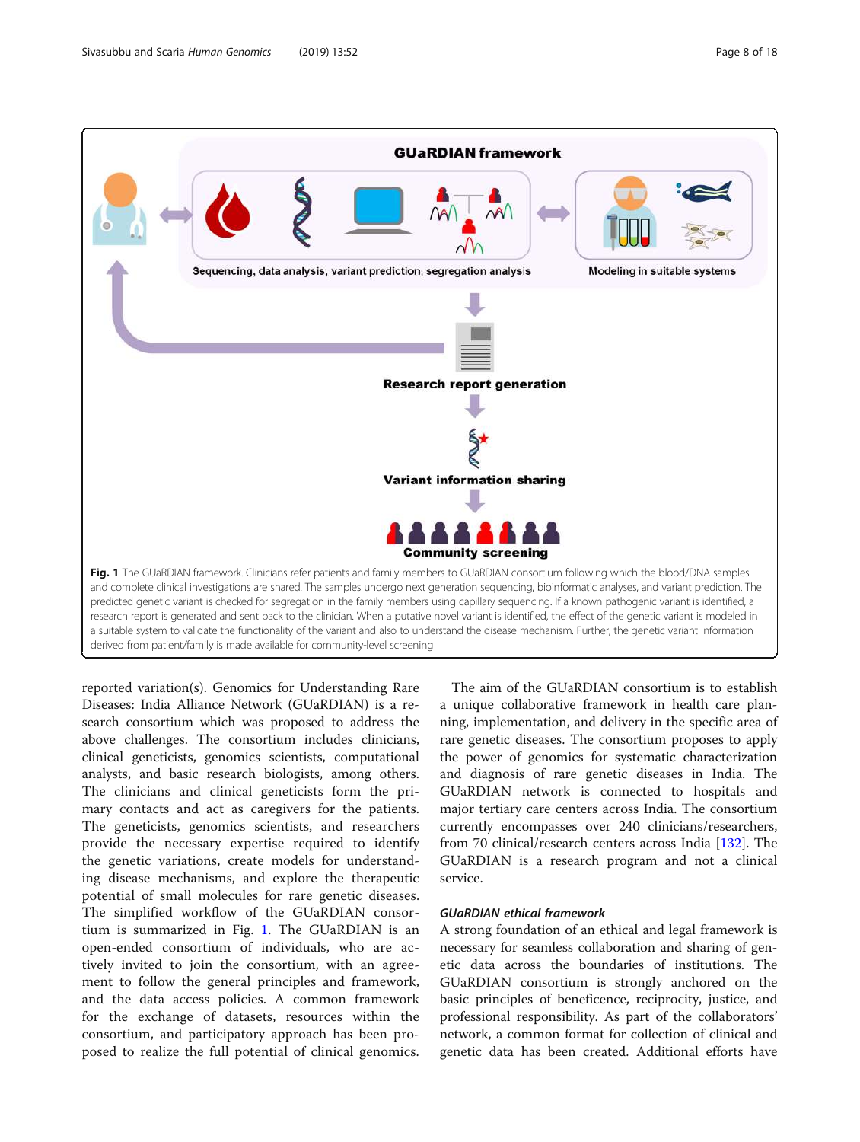

derived from patient/family is made available for community-level screening

reported variation(s). Genomics for Understanding Rare Diseases: India Alliance Network (GUaRDIAN) is a research consortium which was proposed to address the above challenges. The consortium includes clinicians, clinical geneticists, genomics scientists, computational analysts, and basic research biologists, among others. The clinicians and clinical geneticists form the primary contacts and act as caregivers for the patients. The geneticists, genomics scientists, and researchers provide the necessary expertise required to identify the genetic variations, create models for understanding disease mechanisms, and explore the therapeutic potential of small molecules for rare genetic diseases. The simplified workflow of the GUaRDIAN consortium is summarized in Fig. 1. The GUaRDIAN is an open-ended consortium of individuals, who are actively invited to join the consortium, with an agreement to follow the general principles and framework, and the data access policies. A common framework for the exchange of datasets, resources within the consortium, and participatory approach has been proposed to realize the full potential of clinical genomics.

The aim of the GUaRDIAN consortium is to establish a unique collaborative framework in health care planning, implementation, and delivery in the specific area of rare genetic diseases. The consortium proposes to apply the power of genomics for systematic characterization and diagnosis of rare genetic diseases in India. The GUaRDIAN network is connected to hospitals and major tertiary care centers across India. The consortium currently encompasses over 240 clinicians/researchers, from 70 clinical/research centers across India [[132\]](#page-16-0). The GUaRDIAN is a research program and not a clinical service.

#### GUaRDIAN ethical framework

A strong foundation of an ethical and legal framework is necessary for seamless collaboration and sharing of genetic data across the boundaries of institutions. The GUaRDIAN consortium is strongly anchored on the basic principles of beneficence, reciprocity, justice, and professional responsibility. As part of the collaborators' network, a common format for collection of clinical and genetic data has been created. Additional efforts have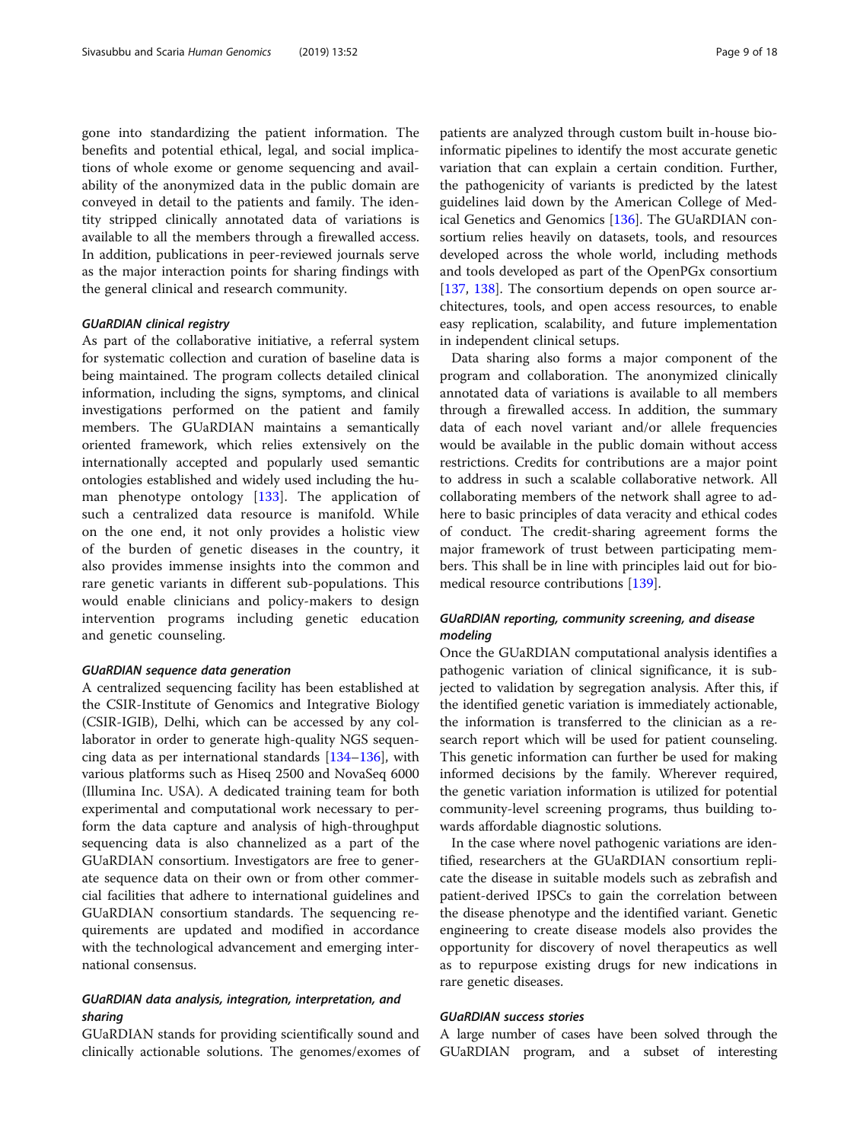gone into standardizing the patient information. The benefits and potential ethical, legal, and social implications of whole exome or genome sequencing and availability of the anonymized data in the public domain are conveyed in detail to the patients and family. The identity stripped clinically annotated data of variations is available to all the members through a firewalled access. In addition, publications in peer-reviewed journals serve as the major interaction points for sharing findings with the general clinical and research community.

#### GUaRDIAN clinical registry

As part of the collaborative initiative, a referral system for systematic collection and curation of baseline data is being maintained. The program collects detailed clinical information, including the signs, symptoms, and clinical investigations performed on the patient and family members. The GUaRDIAN maintains a semantically oriented framework, which relies extensively on the internationally accepted and popularly used semantic ontologies established and widely used including the human phenotype ontology [[133\]](#page-16-0). The application of such a centralized data resource is manifold. While on the one end, it not only provides a holistic view of the burden of genetic diseases in the country, it also provides immense insights into the common and rare genetic variants in different sub-populations. This would enable clinicians and policy-makers to design intervention programs including genetic education and genetic counseling.

#### GUaRDIAN sequence data generation

A centralized sequencing facility has been established at the CSIR-Institute of Genomics and Integrative Biology (CSIR-IGIB), Delhi, which can be accessed by any collaborator in order to generate high-quality NGS sequencing data as per international standards [\[134](#page-16-0)–[136\]](#page-16-0), with various platforms such as Hiseq 2500 and NovaSeq 6000 (Illumina Inc. USA). A dedicated training team for both experimental and computational work necessary to perform the data capture and analysis of high-throughput sequencing data is also channelized as a part of the GUaRDIAN consortium. Investigators are free to generate sequence data on their own or from other commercial facilities that adhere to international guidelines and GUaRDIAN consortium standards. The sequencing requirements are updated and modified in accordance with the technological advancement and emerging international consensus.

#### GUaRDIAN data analysis, integration, interpretation, and sharing

GUaRDIAN stands for providing scientifically sound and clinically actionable solutions. The genomes/exomes of

patients are analyzed through custom built in-house bioinformatic pipelines to identify the most accurate genetic variation that can explain a certain condition. Further, the pathogenicity of variants is predicted by the latest guidelines laid down by the American College of Medical Genetics and Genomics [\[136\]](#page-16-0). The GUaRDIAN consortium relies heavily on datasets, tools, and resources developed across the whole world, including methods and tools developed as part of the OpenPGx consortium [[137,](#page-16-0) [138\]](#page-16-0). The consortium depends on open source architectures, tools, and open access resources, to enable easy replication, scalability, and future implementation in independent clinical setups.

Data sharing also forms a major component of the program and collaboration. The anonymized clinically annotated data of variations is available to all members through a firewalled access. In addition, the summary data of each novel variant and/or allele frequencies would be available in the public domain without access restrictions. Credits for contributions are a major point to address in such a scalable collaborative network. All collaborating members of the network shall agree to adhere to basic principles of data veracity and ethical codes of conduct. The credit-sharing agreement forms the major framework of trust between participating members. This shall be in line with principles laid out for biomedical resource contributions [[139\]](#page-16-0).

#### GUaRDIAN reporting, community screening, and disease modeling

Once the GUaRDIAN computational analysis identifies a pathogenic variation of clinical significance, it is subjected to validation by segregation analysis. After this, if the identified genetic variation is immediately actionable, the information is transferred to the clinician as a research report which will be used for patient counseling. This genetic information can further be used for making informed decisions by the family. Wherever required, the genetic variation information is utilized for potential community-level screening programs, thus building towards affordable diagnostic solutions.

In the case where novel pathogenic variations are identified, researchers at the GUaRDIAN consortium replicate the disease in suitable models such as zebrafish and patient-derived IPSCs to gain the correlation between the disease phenotype and the identified variant. Genetic engineering to create disease models also provides the opportunity for discovery of novel therapeutics as well as to repurpose existing drugs for new indications in rare genetic diseases.

#### GUaRDIAN success stories

A large number of cases have been solved through the GUaRDIAN program, and a subset of interesting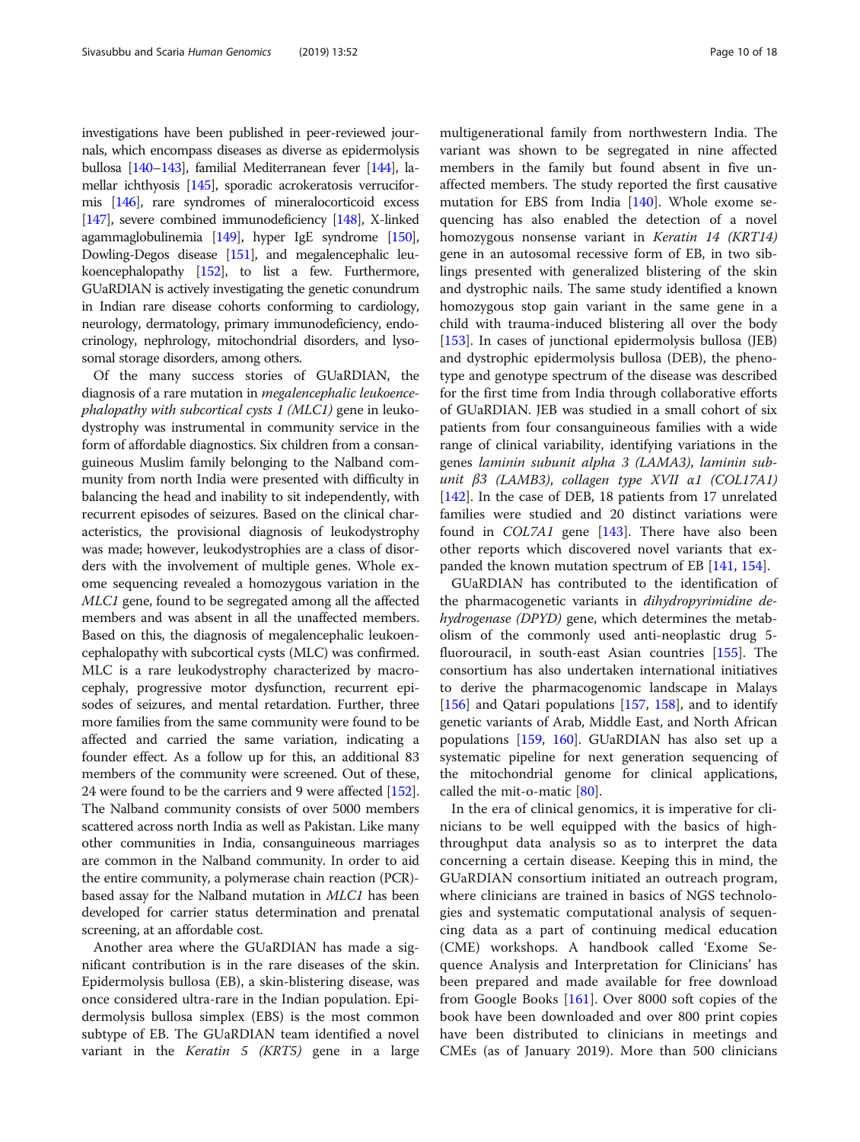investigations have been published in peer-reviewed journals, which encompass diseases as diverse as epidermolysis bullosa [[140](#page-16-0)–[143\]](#page-16-0), familial Mediterranean fever [[144\]](#page-16-0), lamellar ichthyosis [\[145](#page-16-0)], sporadic acrokeratosis verruciformis [\[146](#page-16-0)], rare syndromes of mineralocorticoid excess [[147\]](#page-16-0), severe combined immunodeficiency [\[148](#page-16-0)], X-linked agammaglobulinemia [[149\]](#page-16-0), hyper IgE syndrome [\[150](#page-16-0)], Dowling-Degos disease [\[151\]](#page-16-0), and megalencephalic leukoencephalopathy [[152\]](#page-16-0), to list a few. Furthermore, GUaRDIAN is actively investigating the genetic conundrum in Indian rare disease cohorts conforming to cardiology, neurology, dermatology, primary immunodeficiency, endocrinology, nephrology, mitochondrial disorders, and lysosomal storage disorders, among others.

Of the many success stories of GUaRDIAN, the diagnosis of a rare mutation in megalencephalic leukoencephalopathy with subcortical cysts 1 (MLC1) gene in leukodystrophy was instrumental in community service in the form of affordable diagnostics. Six children from a consanguineous Muslim family belonging to the Nalband community from north India were presented with difficulty in balancing the head and inability to sit independently, with recurrent episodes of seizures. Based on the clinical characteristics, the provisional diagnosis of leukodystrophy was made; however, leukodystrophies are a class of disorders with the involvement of multiple genes. Whole exome sequencing revealed a homozygous variation in the MLC1 gene, found to be segregated among all the affected members and was absent in all the unaffected members. Based on this, the diagnosis of megalencephalic leukoencephalopathy with subcortical cysts (MLC) was confirmed. MLC is a rare leukodystrophy characterized by macrocephaly, progressive motor dysfunction, recurrent episodes of seizures, and mental retardation. Further, three more families from the same community were found to be affected and carried the same variation, indicating a founder effect. As a follow up for this, an additional 83 members of the community were screened. Out of these, 24 were found to be the carriers and 9 were affected [[152](#page-16-0)]. The Nalband community consists of over 5000 members scattered across north India as well as Pakistan. Like many other communities in India, consanguineous marriages are common in the Nalband community. In order to aid the entire community, a polymerase chain reaction (PCR) based assay for the Nalband mutation in MLC1 has been developed for carrier status determination and prenatal screening, at an affordable cost.

Another area where the GUaRDIAN has made a significant contribution is in the rare diseases of the skin. Epidermolysis bullosa (EB), a skin-blistering disease, was once considered ultra-rare in the Indian population. Epidermolysis bullosa simplex (EBS) is the most common subtype of EB. The GUaRDIAN team identified a novel variant in the Keratin 5 (KRT5) gene in a large

multigenerational family from northwestern India. The variant was shown to be segregated in nine affected members in the family but found absent in five unaffected members. The study reported the first causative mutation for EBS from India [\[140\]](#page-16-0). Whole exome sequencing has also enabled the detection of a novel homozygous nonsense variant in Keratin 14 (KRT14) gene in an autosomal recessive form of EB, in two siblings presented with generalized blistering of the skin and dystrophic nails. The same study identified a known homozygous stop gain variant in the same gene in a child with trauma-induced blistering all over the body [[153\]](#page-16-0). In cases of junctional epidermolysis bullosa (JEB) and dystrophic epidermolysis bullosa (DEB), the phenotype and genotype spectrum of the disease was described for the first time from India through collaborative efforts of GUaRDIAN. JEB was studied in a small cohort of six patients from four consanguineous families with a wide range of clinical variability, identifying variations in the genes laminin subunit alpha 3 (LAMA3), laminin subunit β3 (LAMB3), collagen type XVII α1 (COL17A1) [[142\]](#page-16-0). In the case of DEB, 18 patients from 17 unrelated families were studied and 20 distinct variations were found in  $COL7A1$  gene  $[143]$ . There have also been other reports which discovered novel variants that expanded the known mutation spectrum of EB [[141](#page-16-0), [154](#page-16-0)].

GUaRDIAN has contributed to the identification of the pharmacogenetic variants in dihydropyrimidine dehydrogenase (DPYD) gene, which determines the metabolism of the commonly used anti-neoplastic drug 5 fluorouracil, in south-east Asian countries [[155](#page-16-0)]. The consortium has also undertaken international initiatives to derive the pharmacogenomic landscape in Malays [[156\]](#page-16-0) and Qatari populations [[157](#page-16-0), [158](#page-16-0)], and to identify genetic variants of Arab, Middle East, and North African populations [[159,](#page-16-0) [160](#page-16-0)]. GUaRDIAN has also set up a systematic pipeline for next generation sequencing of the mitochondrial genome for clinical applications, called the mit-o-matic [[80\]](#page-15-0).

In the era of clinical genomics, it is imperative for clinicians to be well equipped with the basics of highthroughput data analysis so as to interpret the data concerning a certain disease. Keeping this in mind, the GUaRDIAN consortium initiated an outreach program, where clinicians are trained in basics of NGS technologies and systematic computational analysis of sequencing data as a part of continuing medical education (CME) workshops. A handbook called 'Exome Sequence Analysis and Interpretation for Clinicians' has been prepared and made available for free download from Google Books [[161\]](#page-16-0). Over 8000 soft copies of the book have been downloaded and over 800 print copies have been distributed to clinicians in meetings and CMEs (as of January 2019). More than 500 clinicians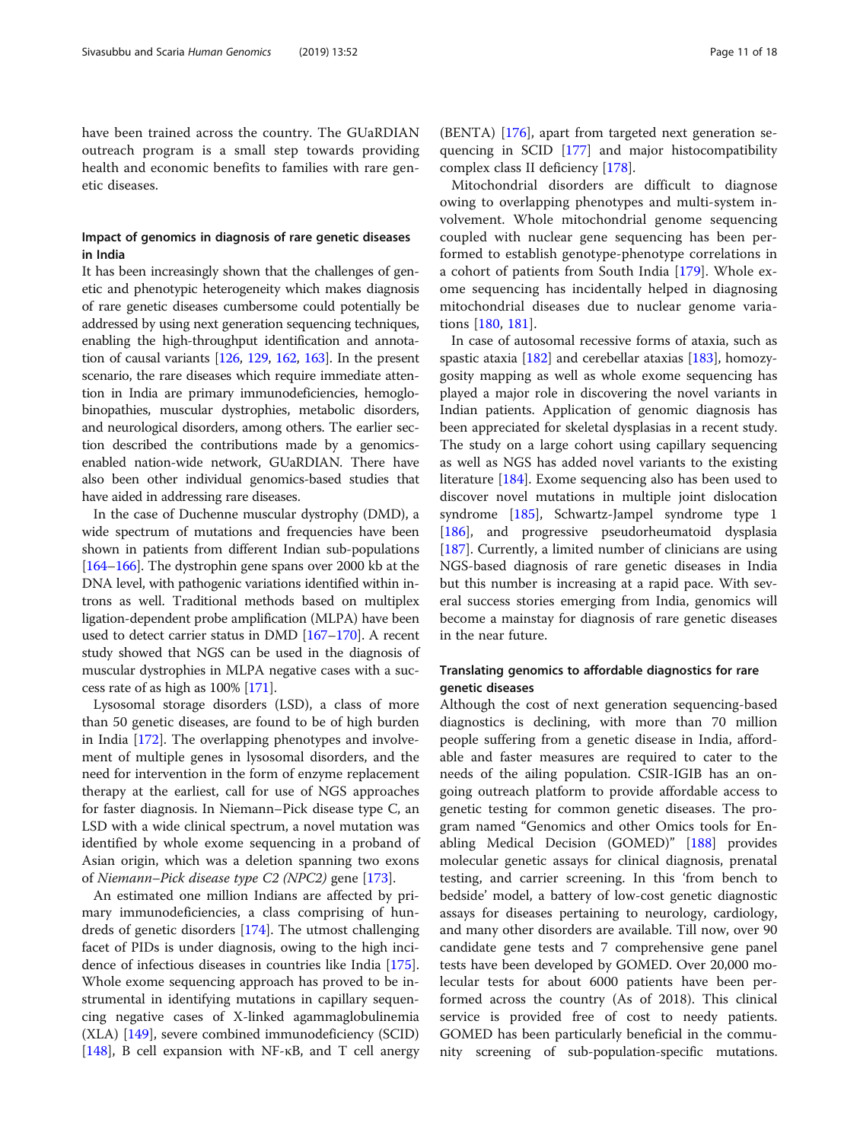have been trained across the country. The GUaRDIAN outreach program is a small step towards providing health and economic benefits to families with rare genetic diseases.

#### Impact of genomics in diagnosis of rare genetic diseases in India

It has been increasingly shown that the challenges of genetic and phenotypic heterogeneity which makes diagnosis of rare genetic diseases cumbersome could potentially be addressed by using next generation sequencing techniques, enabling the high-throughput identification and annotation of causal variants [[126](#page-15-0), [129,](#page-16-0) [162](#page-16-0), [163](#page-16-0)]. In the present scenario, the rare diseases which require immediate attention in India are primary immunodeficiencies, hemoglobinopathies, muscular dystrophies, metabolic disorders, and neurological disorders, among others. The earlier section described the contributions made by a genomicsenabled nation-wide network, GUaRDIAN. There have also been other individual genomics-based studies that have aided in addressing rare diseases.

In the case of Duchenne muscular dystrophy (DMD), a wide spectrum of mutations and frequencies have been shown in patients from different Indian sub-populations [[164](#page-16-0)–[166\]](#page-16-0). The dystrophin gene spans over 2000 kb at the DNA level, with pathogenic variations identified within introns as well. Traditional methods based on multiplex ligation-dependent probe amplification (MLPA) have been used to detect carrier status in DMD [[167](#page-16-0)–[170](#page-17-0)]. A recent study showed that NGS can be used in the diagnosis of muscular dystrophies in MLPA negative cases with a success rate of as high as 100% [\[171\]](#page-17-0).

Lysosomal storage disorders (LSD), a class of more than 50 genetic diseases, are found to be of high burden in India [\[172](#page-17-0)]. The overlapping phenotypes and involvement of multiple genes in lysosomal disorders, and the need for intervention in the form of enzyme replacement therapy at the earliest, call for use of NGS approaches for faster diagnosis. In Niemann–Pick disease type C, an LSD with a wide clinical spectrum, a novel mutation was identified by whole exome sequencing in a proband of Asian origin, which was a deletion spanning two exons of Niemann–Pick disease type C2 (NPC2) gene [\[173\]](#page-17-0).

An estimated one million Indians are affected by primary immunodeficiencies, a class comprising of hundreds of genetic disorders [\[174](#page-17-0)]. The utmost challenging facet of PIDs is under diagnosis, owing to the high incidence of infectious diseases in countries like India [\[175](#page-17-0)]. Whole exome sequencing approach has proved to be instrumental in identifying mutations in capillary sequencing negative cases of X-linked agammaglobulinemia (XLA) [[149](#page-16-0)], severe combined immunodeficiency (SCID) [[148\]](#page-16-0), B cell expansion with NF-κB, and T cell anergy

(BENTA) [\[176\]](#page-17-0), apart from targeted next generation sequencing in SCID [[177\]](#page-17-0) and major histocompatibility complex class II deficiency [\[178](#page-17-0)].

Mitochondrial disorders are difficult to diagnose owing to overlapping phenotypes and multi-system involvement. Whole mitochondrial genome sequencing coupled with nuclear gene sequencing has been performed to establish genotype-phenotype correlations in a cohort of patients from South India [[179\]](#page-17-0). Whole exome sequencing has incidentally helped in diagnosing mitochondrial diseases due to nuclear genome variations [\[180](#page-17-0), [181\]](#page-17-0).

In case of autosomal recessive forms of ataxia, such as spastic ataxia [[182\]](#page-17-0) and cerebellar ataxias [[183](#page-17-0)], homozygosity mapping as well as whole exome sequencing has played a major role in discovering the novel variants in Indian patients. Application of genomic diagnosis has been appreciated for skeletal dysplasias in a recent study. The study on a large cohort using capillary sequencing as well as NGS has added novel variants to the existing literature [\[184\]](#page-17-0). Exome sequencing also has been used to discover novel mutations in multiple joint dislocation syndrome [\[185\]](#page-17-0), Schwartz-Jampel syndrome type 1 [[186\]](#page-17-0), and progressive pseudorheumatoid dysplasia [[187\]](#page-17-0). Currently, a limited number of clinicians are using NGS-based diagnosis of rare genetic diseases in India but this number is increasing at a rapid pace. With several success stories emerging from India, genomics will become a mainstay for diagnosis of rare genetic diseases in the near future.

#### Translating genomics to affordable diagnostics for rare genetic diseases

Although the cost of next generation sequencing-based diagnostics is declining, with more than 70 million people suffering from a genetic disease in India, affordable and faster measures are required to cater to the needs of the ailing population. CSIR-IGIB has an ongoing outreach platform to provide affordable access to genetic testing for common genetic diseases. The program named "Genomics and other Omics tools for Enabling Medical Decision (GOMED)" [\[188](#page-17-0)] provides molecular genetic assays for clinical diagnosis, prenatal testing, and carrier screening. In this 'from bench to bedside' model, a battery of low-cost genetic diagnostic assays for diseases pertaining to neurology, cardiology, and many other disorders are available. Till now, over 90 candidate gene tests and 7 comprehensive gene panel tests have been developed by GOMED. Over 20,000 molecular tests for about 6000 patients have been performed across the country (As of 2018). This clinical service is provided free of cost to needy patients. GOMED has been particularly beneficial in the community screening of sub-population-specific mutations.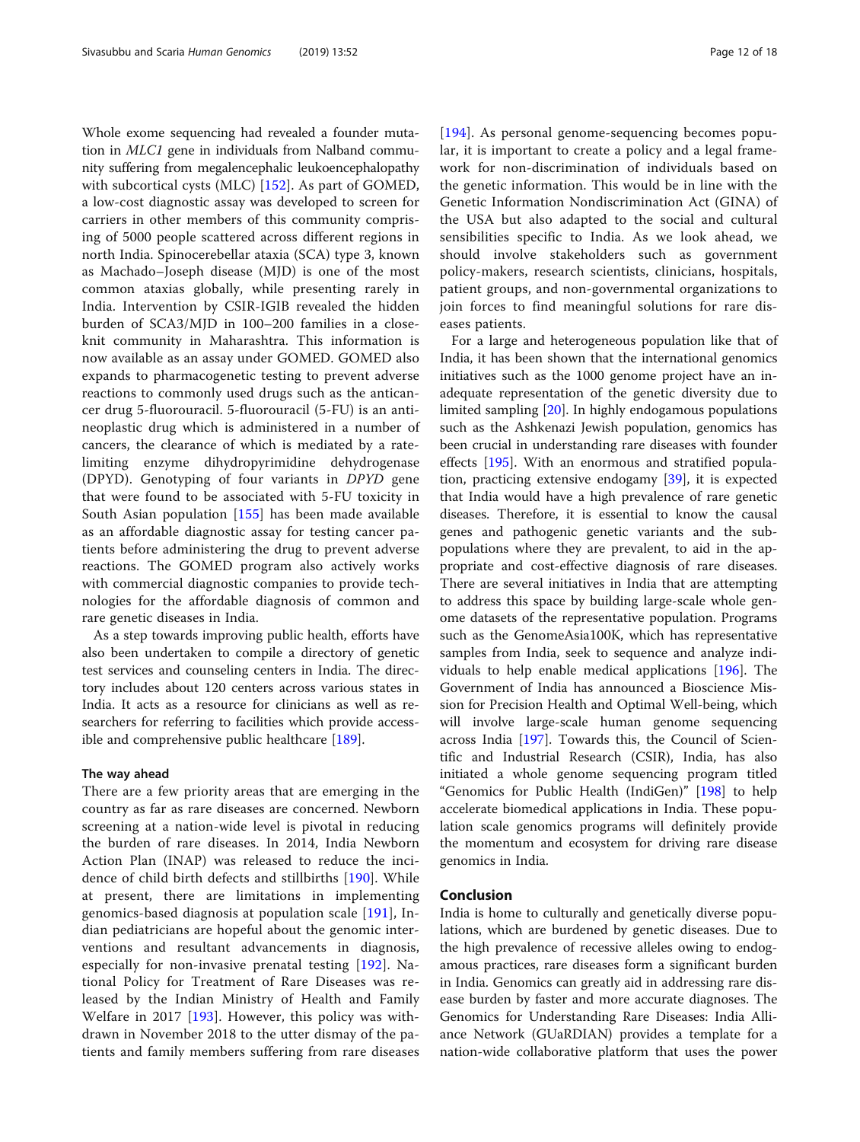Whole exome sequencing had revealed a founder mutation in MLC1 gene in individuals from Nalband community suffering from megalencephalic leukoencephalopathy with subcortical cysts (MLC) [\[152](#page-16-0)]. As part of GOMED, a low-cost diagnostic assay was developed to screen for carriers in other members of this community comprising of 5000 people scattered across different regions in north India. Spinocerebellar ataxia (SCA) type 3, known as Machado–Joseph disease (MJD) is one of the most common ataxias globally, while presenting rarely in India. Intervention by CSIR-IGIB revealed the hidden burden of SCA3/MJD in 100–200 families in a closeknit community in Maharashtra. This information is now available as an assay under GOMED. GOMED also expands to pharmacogenetic testing to prevent adverse reactions to commonly used drugs such as the anticancer drug 5-fluorouracil. 5-fluorouracil (5-FU) is an antineoplastic drug which is administered in a number of cancers, the clearance of which is mediated by a ratelimiting enzyme dihydropyrimidine dehydrogenase (DPYD). Genotyping of four variants in DPYD gene that were found to be associated with 5-FU toxicity in South Asian population [[155\]](#page-16-0) has been made available as an affordable diagnostic assay for testing cancer patients before administering the drug to prevent adverse reactions. The GOMED program also actively works with commercial diagnostic companies to provide technologies for the affordable diagnosis of common and rare genetic diseases in India.

As a step towards improving public health, efforts have also been undertaken to compile a directory of genetic test services and counseling centers in India. The directory includes about 120 centers across various states in India. It acts as a resource for clinicians as well as researchers for referring to facilities which provide accessible and comprehensive public healthcare [[189](#page-17-0)].

#### The way ahead

There are a few priority areas that are emerging in the country as far as rare diseases are concerned. Newborn screening at a nation-wide level is pivotal in reducing the burden of rare diseases. In 2014, India Newborn Action Plan (INAP) was released to reduce the incidence of child birth defects and stillbirths [\[190](#page-17-0)]. While at present, there are limitations in implementing genomics-based diagnosis at population scale [\[191](#page-17-0)], Indian pediatricians are hopeful about the genomic interventions and resultant advancements in diagnosis, especially for non-invasive prenatal testing [[192\]](#page-17-0). National Policy for Treatment of Rare Diseases was released by the Indian Ministry of Health and Family Welfare in 2017 [[193](#page-17-0)]. However, this policy was withdrawn in November 2018 to the utter dismay of the patients and family members suffering from rare diseases [[194](#page-17-0)]. As personal genome-sequencing becomes popular, it is important to create a policy and a legal framework for non-discrimination of individuals based on the genetic information. This would be in line with the Genetic Information Nondiscrimination Act (GINA) of the USA but also adapted to the social and cultural sensibilities specific to India. As we look ahead, we should involve stakeholders such as government policy-makers, research scientists, clinicians, hospitals, patient groups, and non-governmental organizations to join forces to find meaningful solutions for rare diseases patients.

For a large and heterogeneous population like that of India, it has been shown that the international genomics initiatives such as the 1000 genome project have an inadequate representation of the genetic diversity due to limited sampling [\[20\]](#page-13-0). In highly endogamous populations such as the Ashkenazi Jewish population, genomics has been crucial in understanding rare diseases with founder effects [\[195\]](#page-17-0). With an enormous and stratified population, practicing extensive endogamy [[39\]](#page-14-0), it is expected that India would have a high prevalence of rare genetic diseases. Therefore, it is essential to know the causal genes and pathogenic genetic variants and the subpopulations where they are prevalent, to aid in the appropriate and cost-effective diagnosis of rare diseases. There are several initiatives in India that are attempting to address this space by building large-scale whole genome datasets of the representative population. Programs such as the GenomeAsia100K, which has representative samples from India, seek to sequence and analyze individuals to help enable medical applications [\[196](#page-17-0)]. The Government of India has announced a Bioscience Mission for Precision Health and Optimal Well-being, which will involve large-scale human genome sequencing across India [\[197](#page-17-0)]. Towards this, the Council of Scientific and Industrial Research (CSIR), India, has also initiated a whole genome sequencing program titled "Genomics for Public Health (IndiGen)" [\[198\]](#page-17-0) to help accelerate biomedical applications in India. These population scale genomics programs will definitely provide the momentum and ecosystem for driving rare disease genomics in India.

#### Conclusion

India is home to culturally and genetically diverse populations, which are burdened by genetic diseases. Due to the high prevalence of recessive alleles owing to endogamous practices, rare diseases form a significant burden in India. Genomics can greatly aid in addressing rare disease burden by faster and more accurate diagnoses. The Genomics for Understanding Rare Diseases: India Alliance Network (GUaRDIAN) provides a template for a nation-wide collaborative platform that uses the power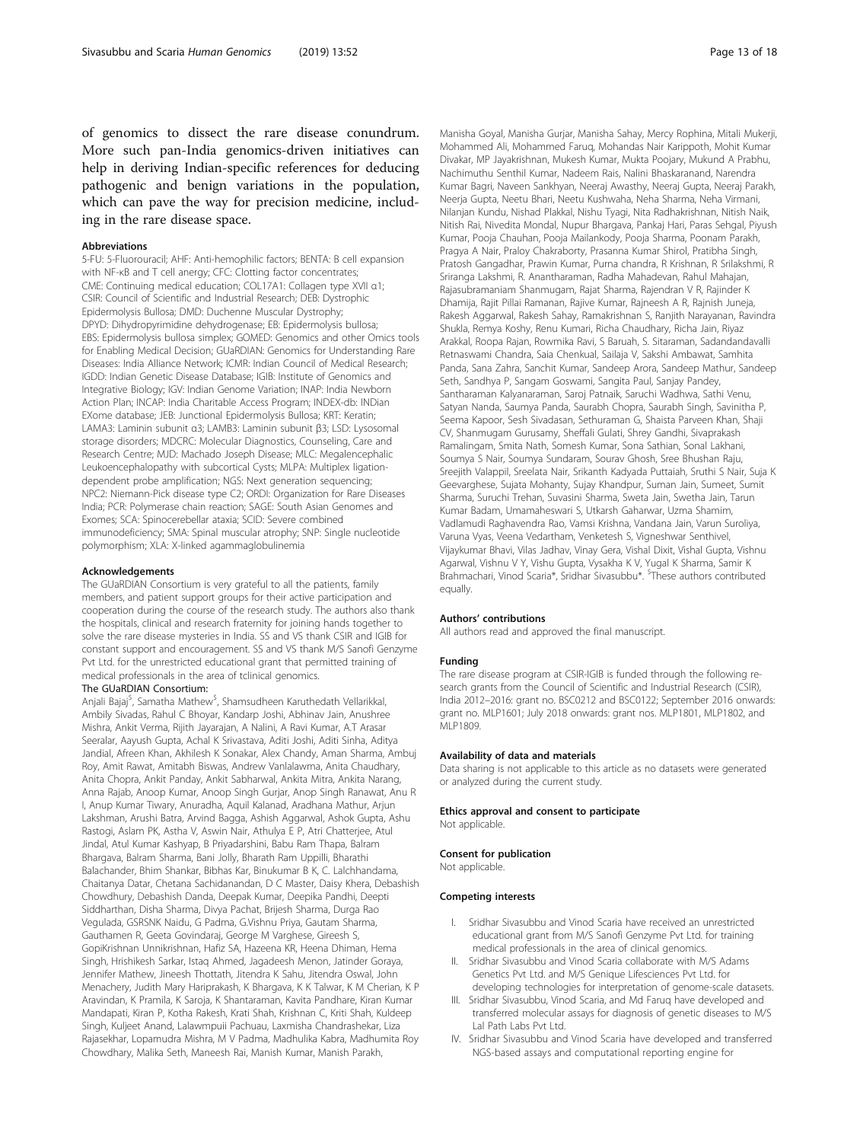of genomics to dissect the rare disease conundrum. More such pan-India genomics-driven initiatives can help in deriving Indian-specific references for deducing pathogenic and benign variations in the population, which can pave the way for precision medicine, including in the rare disease space.

#### Abbreviations

5-FU: 5-Fluorouracil; AHF: Anti-hemophilic factors; BENTA: B cell expansion with NF-κB and T cell anergy; CFC: Clotting factor concentrates; CME: Continuing medical education; COL17A1: Collagen type XVII α1; CSIR: Council of Scientific and Industrial Research; DEB: Dystrophic Epidermolysis Bullosa; DMD: Duchenne Muscular Dystrophy; DPYD: Dihydropyrimidine dehydrogenase; EB: Epidermolysis bullosa; EBS: Epidermolysis bullosa simplex; GOMED: Genomics and other Omics tools for Enabling Medical Decision; GUaRDIAN: Genomics for Understanding Rare Diseases: India Alliance Network; ICMR: Indian Council of Medical Research; IGDD: Indian Genetic Disease Database; IGIB: Institute of Genomics and Integrative Biology; IGV: Indian Genome Variation; INAP: India Newborn Action Plan; INCAP: India Charitable Access Program; INDEX-db: INDian EXome database; JEB: Junctional Epidermolysis Bullosa; KRT: Keratin; LAMA3: Laminin subunit α3; LAMB3: Laminin subunit β3; LSD: Lysosomal storage disorders; MDCRC: Molecular Diagnostics, Counseling, Care and Research Centre; MJD: Machado Joseph Disease; MLC: Megalencephalic Leukoencephalopathy with subcortical Cysts; MLPA: Multiplex ligationdependent probe amplification; NGS: Next generation sequencing; NPC2: Niemann-Pick disease type C2; ORDI: Organization for Rare Diseases India; PCR: Polymerase chain reaction; SAGE: South Asian Genomes and Exomes; SCA: Spinocerebellar ataxia; SCID: Severe combined immunodeficiency; SMA: Spinal muscular atrophy; SNP: Single nucleotide polymorphism; XLA: X-linked agammaglobulinemia

#### Acknowledgements

The GUaRDIAN Consortium is very grateful to all the patients, family members, and patient support groups for their active participation and cooperation during the course of the research study. The authors also thank the hospitals, clinical and research fraternity for joining hands together to solve the rare disease mysteries in India. SS and VS thank CSIR and IGIB for constant support and encouragement. SS and VS thank M/S Sanofi Genzyme Pvt Ltd. for the unrestricted educational grant that permitted training of medical professionals in the area of tclinical genomics.

#### The GUaRDIAN Consortium:

Anjali Bajaj<sup>\$</sup>, Samatha Mathew<sup>\$</sup>, Shamsudheen Karuthedath Vellarikkal, Ambily Sivadas, Rahul C Bhoyar, Kandarp Joshi, Abhinav Jain, Anushree Mishra, Ankit Verma, Rijith Jayarajan, A Nalini, A Ravi Kumar, A.T Arasar Seeralar, Aayush Gupta, Achal K Srivastava, Aditi Joshi, Aditi Sinha, Aditya Jandial, Afreen Khan, Akhilesh K Sonakar, Alex Chandy, Aman Sharma, Ambuj Roy, Amit Rawat, Amitabh Biswas, Andrew Vanlalawma, Anita Chaudhary, Anita Chopra, Ankit Panday, Ankit Sabharwal, Ankita Mitra, Ankita Narang, Anna Rajab, Anoop Kumar, Anoop Singh Gurjar, Anop Singh Ranawat, Anu R I, Anup Kumar Tiwary, Anuradha, Aquil Kalanad, Aradhana Mathur, Arjun Lakshman, Arushi Batra, Arvind Bagga, Ashish Aggarwal, Ashok Gupta, Ashu Rastogi, Aslam PK, Astha V, Aswin Nair, Athulya E P, Atri Chatterjee, Atul Jindal, Atul Kumar Kashyap, B Priyadarshini, Babu Ram Thapa, Balram Bhargava, Balram Sharma, Bani Jolly, Bharath Ram Uppilli, Bharathi Balachander, Bhim Shankar, Bibhas Kar, Binukumar B K, C. Lalchhandama, Chaitanya Datar, Chetana Sachidanandan, D C Master, Daisy Khera, Debashish Chowdhury, Debashish Danda, Deepak Kumar, Deepika Pandhi, Deepti Siddharthan, Disha Sharma, Divya Pachat, Brijesh Sharma, Durga Rao Vegulada, GSRSNK Naidu, G Padma, G.Vishnu Priya, Gautam Sharma, Gauthamen R, Geeta Govindaraj, George M Varghese, Gireesh S, GopiKrishnan Unnikrishnan, Hafiz SA, Hazeena KR, Heena Dhiman, Hema Singh, Hrishikesh Sarkar, Istaq Ahmed, Jagadeesh Menon, Jatinder Goraya, Jennifer Mathew, Jineesh Thottath, Jitendra K Sahu, Jitendra Oswal, John Menachery, Judith Mary Hariprakash, K Bhargava, K K Talwar, K M Cherian, K P Aravindan, K Pramila, K Saroja, K Shantaraman, Kavita Pandhare, Kiran Kumar Mandapati, Kiran P, Kotha Rakesh, Krati Shah, Krishnan C, Kriti Shah, Kuldeep Singh, Kuljeet Anand, Lalawmpuii Pachuau, Laxmisha Chandrashekar, Liza Rajasekhar, Lopamudra Mishra, M V Padma, Madhulika Kabra, Madhumita Roy Chowdhary, Malika Seth, Maneesh Rai, Manish Kumar, Manish Parakh,

Manisha Goyal, Manisha Gurjar, Manisha Sahay, Mercy Rophina, Mitali Mukerji, Mohammed Ali, Mohammed Faruq, Mohandas Nair Karippoth, Mohit Kumar Divakar, MP Jayakrishnan, Mukesh Kumar, Mukta Poojary, Mukund A Prabhu, Nachimuthu Senthil Kumar, Nadeem Rais, Nalini Bhaskaranand, Narendra Kumar Bagri, Naveen Sankhyan, Neeraj Awasthy, Neeraj Gupta, Neeraj Parakh, Neerja Gupta, Neetu Bhari, Neetu Kushwaha, Neha Sharma, Neha Virmani, Nilanjan Kundu, Nishad Plakkal, Nishu Tyagi, Nita Radhakrishnan, Nitish Naik, Nitish Rai, Nivedita Mondal, Nupur Bhargava, Pankaj Hari, Paras Sehgal, Piyush Kumar, Pooja Chauhan, Pooja Mailankody, Pooja Sharma, Poonam Parakh, Pragya A Nair, Praloy Chakraborty, Prasanna Kumar Shirol, Pratibha Singh, Pratosh Gangadhar, Prawin Kumar, Purna chandra, R Krishnan, R Srilakshmi, R Sriranga Lakshmi, R. Anantharaman, Radha Mahadevan, Rahul Mahajan, Rajasubramaniam Shanmugam, Rajat Sharma, Rajendran V R, Rajinder K Dhamija, Rajit Pillai Ramanan, Rajive Kumar, Rajneesh A R, Rajnish Juneja, Rakesh Aggarwal, Rakesh Sahay, Ramakrishnan S, Ranjith Narayanan, Ravindra Shukla, Remya Koshy, Renu Kumari, Richa Chaudhary, Richa Jain, Riyaz Arakkal, Roopa Rajan, Rowmika Ravi, S Baruah, S. Sitaraman, Sadandandavalli Retnaswami Chandra, Saia Chenkual, Sailaja V, Sakshi Ambawat, Samhita Panda, Sana Zahra, Sanchit Kumar, Sandeep Arora, Sandeep Mathur, Sandeep Seth, Sandhya P, Sangam Goswami, Sangita Paul, Sanjay Pandey, Santharaman Kalyanaraman, Saroj Patnaik, Saruchi Wadhwa, Sathi Venu, Satyan Nanda, Saumya Panda, Saurabh Chopra, Saurabh Singh, Savinitha P, Seema Kapoor, Sesh Sivadasan, Sethuraman G, Shaista Parveen Khan, Shaji CV, Shanmugam Gurusamy, Sheffali Gulati, Shrey Gandhi, Sivaprakash Ramalingam, Smita Nath, Somesh Kumar, Sona Sathian, Sonal Lakhani, Soumya S Nair, Soumya Sundaram, Sourav Ghosh, Sree Bhushan Raju, Sreejith Valappil, Sreelata Nair, Srikanth Kadyada Puttaiah, Sruthi S Nair, Suja K Geevarghese, Sujata Mohanty, Sujay Khandpur, Suman Jain, Sumeet, Sumit Sharma, Suruchi Trehan, Suvasini Sharma, Sweta Jain, Swetha Jain, Tarun Kumar Badam, Umamaheswari S, Utkarsh Gaharwar, Uzma Shamim, Vadlamudi Raghavendra Rao, Vamsi Krishna, Vandana Jain, Varun Suroliya, Varuna Vyas, Veena Vedartham, Venketesh S, Vigneshwar Senthivel, Vijaykumar Bhavi, Vilas Jadhav, Vinay Gera, Vishal Dixit, Vishal Gupta, Vishnu Agarwal, Vishnu V Y, Vishu Gupta, Vysakha K V, Yugal K Sharma, Samir K Brahmachari, Vinod Scaria\*, Sridhar Sivasubbu\*. <sup>\$</sup>These authors contributed equally.

#### Authors' contributions

All authors read and approved the final manuscript.

#### Funding

The rare disease program at CSIR-IGIB is funded through the following research grants from the Council of Scientific and Industrial Research (CSIR), India 2012–2016: grant no. BSC0212 and BSC0122; September 2016 onwards: grant no. MLP1601; July 2018 onwards: grant nos. MLP1801, MLP1802, and MLP1809.

#### Availability of data and materials

Data sharing is not applicable to this article as no datasets were generated or analyzed during the current study.

#### Ethics approval and consent to participate Not applicable.

#### Consent for publication

Not applicable.

# Competing interests

- I. Sridhar Sivasubbu and Vinod Scaria have received an unrestricted educational grant from M/S Sanofi Genzyme Pvt Ltd. for training medical professionals in the area of clinical genomics.
- II. Sridhar Sivasubbu and Vinod Scaria collaborate with M/S Adams Genetics Pvt Ltd. and M/S Genique Lifesciences Pvt Ltd. for developing technologies for interpretation of genome-scale datasets.
- III. Sridhar Sivasubbu, Vinod Scaria, and Md Faruq have developed and transferred molecular assays for diagnosis of genetic diseases to M/S Lal Path Labs Pvt Ltd.
- IV. Sridhar Sivasubbu and Vinod Scaria have developed and transferred NGS-based assays and computational reporting engine for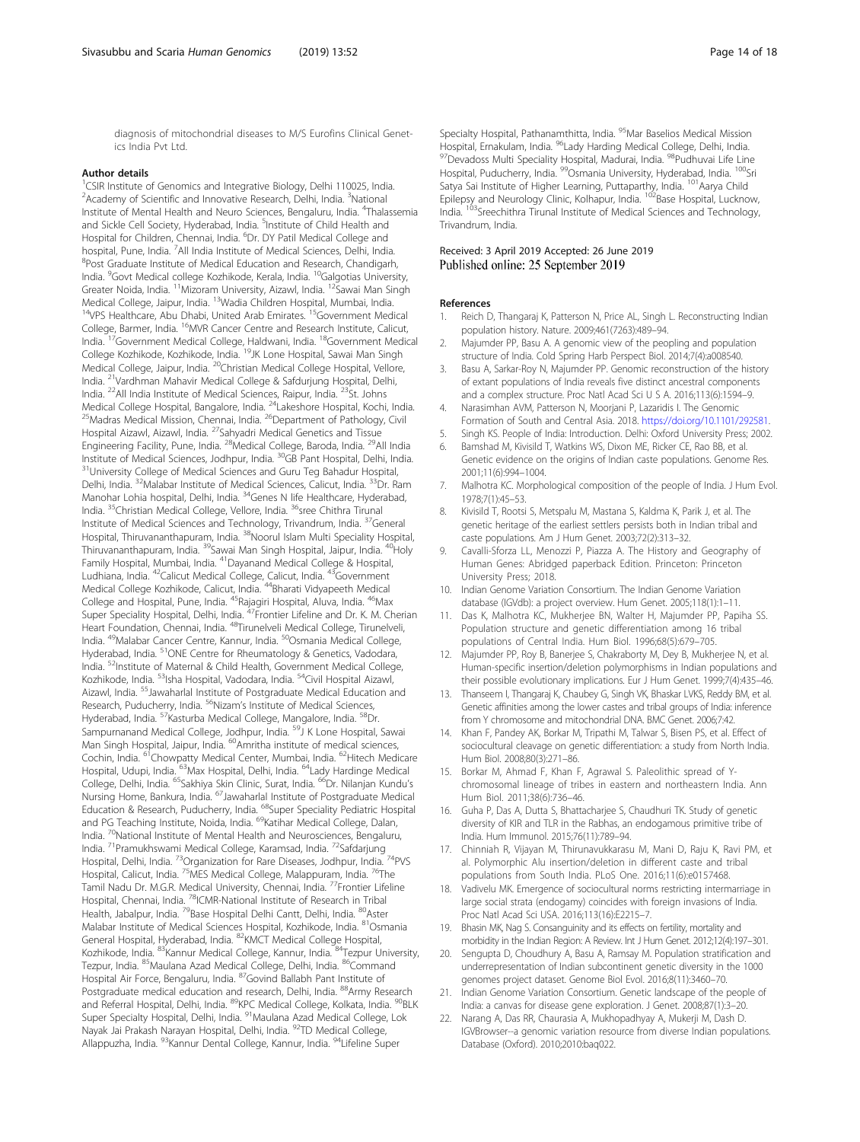<span id="page-13-0"></span>diagnosis of mitochondrial diseases to M/S Eurofins Clinical Genetics India Pvt Ltd.

#### Author details

<sup>1</sup>CSIR Institute of Genomics and Integrative Biology, Delhi 110025, India. <sup>2</sup> Academy of Scientific and Innovative Research, Delhi, India. <sup>3</sup>National Institute of Mental Health and Neuro Sciences, Bengaluru, India. <sup>4</sup>Thalassemia and Sickle Cell Society, Hyderabad, India. <sup>5</sup>Institute of Child Health and Hospital for Children, Chennai, India. <sup>6</sup>Dr. DY Patil Medical College and hospital, Pune, India. <sup>7</sup>All India Institute of Medical Sciences, Delhi, India. <sup>8</sup>Post Graduate Institute of Medical Education and Research, Chandigarh, India. <sup>9</sup>Govt Medical college Kozhikode, Kerala, India. <sup>10</sup>Galgotias University, Greater Noida, India. <sup>11</sup>Mizoram University, Aizawl, India. <sup>12</sup>Sawai Man Singh Medical College, Jaipur, India. <sup>13</sup>Wadia Children Hospital, Mumbai, India. <sup>14</sup>VPS Healthcare, Abu Dhabi, United Arab Emirates.<sup>15</sup>Government Medical College, Barmer, India. <sup>16</sup>MVR Cancer Centre and Research Institute, Calicut, India. <sup>17</sup>Government Medical College, Haldwani, India. <sup>18</sup>Government Medical College Kozhikode, Kozhikode, India. <sup>19</sup>JK Lone Hospital, Sawai Man Singh Medical College, Jaipur, India. <sup>20</sup>Christian Medical College Hospital, Vellore, India. <sup>21</sup>Vardhman Mahavir Medical College & Safdurjung Hospital, Delhi, India. <sup>22</sup>All India Institute of Medical Sciences, Raipur, India. <sup>23</sup>St. Johns Medical College Hospital, Bangalore, India. <sup>24</sup>Lakeshore Hospital, Kochi, India. <sup>25</sup>Madras Medical Mission, Chennai, India. <sup>26</sup>Department of Pathology, Civil Hospital Aizawl, Aizawl, India. <sup>27</sup>Sahyadri Medical Genetics and Tissue Engineering Facility, Pune, India. <sup>28</sup>Medical College, Baroda, India. <sup>29</sup>All India Institute of Medical Sciences, Jodhpur, India. <sup>30</sup>GB Pant Hospital, Delhi, India. <sup>31</sup>University College of Medical Sciences and Guru Teg Bahadur Hospital, Delhi, India. <sup>32</sup>Malabar Institute of Medical Sciences, Calicut, India. <sup>33</sup>Dr. Ram Manohar Lohia hospital, Delhi, India. <sup>34</sup>Genes N life Healthcare, Hyderabad, India. <sup>35</sup>Christian Medical College, Vellore, India. <sup>36</sup>sree Chithra Tirunal Institute of Medical Sciences and Technology, Trivandrum, India. <sup>37</sup>General Hospital, Thiruvananthapuram, India. <sup>38</sup>Noorul Islam Multi Speciality Hospital, Thiruvananthapuram, India. <sup>39</sup>Sawai Man Singh Hospital, Jaipur, India. <sup>40</sup>Holy Family Hospital, Mumbai, India. <sup>41</sup>Dayanand Medical College & Hospital, Ludhiana, India. <sup>42</sup>Calicut Medical College, Calicut, India. <sup>43</sup>Government Medical College Kozhikode, Calicut, India. <sup>44</sup>Bharati Vidyapeeth Medical College and Hospital, Pune, India. <sup>45</sup>Rajagiri Hospital, Aluva, India. <sup>46</sup>Max Super Speciality Hospital, Delhi, India. <sup>47</sup>Frontier Lifeline and Dr. K. M. Cherian Heart Foundation, Chennai, India. <sup>48</sup>Tirunelveli Medical College, Tirunelveli, India. <sup>49</sup>Malabar Cancer Centre, Kannur, India. <sup>50</sup>Osmania Medical College, Hyderabad, India. <sup>51</sup>ONE Centre for Rheumatology & Genetics, Vadodara, India. <sup>52</sup>Institute of Maternal & Child Health, Government Medical College, Kozhikode, India. <sup>53</sup>Isha Hospital, Vadodara, India. <sup>54</sup>Civil Hospital Aizawl, Aizawl, India. <sup>55</sup>Jawaharlal Institute of Postgraduate Medical Education and Research, Puducherry, India. <sup>56</sup>Nizam's Institute of Medical Sciences, Hyderabad, India. <sup>57</sup>Kasturba Medical College, Mangalore, India. <sup>58</sup>Dr. Sampurnanand Medical College, Jodhpur, India. <sup>59</sup>J K Lone Hospital, Sawai Man Singh Hospital, Jaipur, India. <sup>60</sup>Amritha institute of medical sciences, Cochin, India. <sup>61</sup>Chowpatty Medical Center, Mumbai, India. <sup>62</sup>Hitech Medicare Hospital, Udupi, India. <sup>63</sup>Max Hospital, Delhi, India. <sup>64</sup>Lady Hardinge Medical College, Delhi, India. <sup>65</sup>Sakhiya Skin Clinic, Surat, India. <sup>66</sup>Dr. Nilanjan Kundu's Nursing Home, Bankura, India. <sup>67</sup>Jawaharlal Institute of Postgraduate Medical Education & Research, Puducherry, India. <sup>68</sup>Super Speciality Pediatric Hospital and PG Teaching Institute, Noida, India. <sup>69</sup>Katihar Medical College, Dalan, India. <sup>70</sup>National Institute of Mental Health and Neurosciences, Bengaluru, India. <sup>71</sup>Pramukhswami Medical College, Karamsad, India. <sup>72</sup>Safdarjung Hospital, Delhi, India. <sup>73</sup>Organization for Rare Diseases, Jodhpur, India. <sup>74</sup>PVS Hospital, Delhi, India. <sup>73</sup>Organization for Rare Diseases, Jodhpur, India. <sup>74</sup>The<br>Hospital, Calicut, India. <sup>75</sup>MES Medical College, Malappuram, India. <sup>76</sup>The Tamil Nadu Dr. M.G.R. Medical University, Chennai, India. <sup>77</sup>Frontier Lifeline Hospital, Chennai, India. <sup>78</sup>ICMR-National Institute of Research in Tribal Health, Jabalpur, India. <sup>79</sup>Base Hospital Delhi Cantt, Delhi, India. <sup>80</sup>Aster Malabar Institute of Medical Sciences Hospital, Kozhikode, India. <sup>81</sup>Osmania General Hospital, Hyderabad, India. <sup>82</sup>KMCT Medical College Hospital, Kozhikode, India. 83Kannur Medical College, Kannur, India. 84Tezpur University, Tezpur, India. 85 Maulana Azad Medical College, Delhi, India. 86 Command Hospital Air Force, Bengaluru, India. <sup>87</sup>Govind Ballabh Pant Institute of Postgraduate medical education and research, Delhi, India. <sup>88</sup>Army Research and Referral Hospital, Delhi, India. <sup>89</sup>KPC Medical College, Kolkata, India. <sup>90</sup>BLK Super Specialty Hospital, Delhi, India. <sup>91</sup> Maulana Azad Medical College, Lok Nayak Jai Prakash Narayan Hospital, Delhi, India. <sup>92</sup>TD Medical College, Allappuzha, India. <sup>93</sup>Kannur Dental College, Kannur, India. <sup>94</sup>Lifeline Super

Specialty Hospital, Pathanamthitta, India. <sup>95</sup>Mar Baselios Medical Mission Hospital, Ernakulam, India. <sup>96</sup>Lady Harding Medical College, Delhi, India. 97 Devadoss Multi Speciality Hospital, Madurai, India. 98 Pudhuvai Life Line Hospital, Puducherry, India. <sup>99</sup>Osmania University, Hyderabad, India. <sup>100</sup>Sri Satya Sai Institute of Higher Learning, Puttaparthy, India. <sup>101</sup> Aarya Child Epilepsy and Neurology Clinic, Kolhapur, India. <sup>102</sup>Base Hospital, Lucknow, India. <sup>103</sup>Sreechithra Tirunal Institute of Medical Sciences and Technology, Trivandrum, India.

#### Received: 3 April 2019 Accepted: 26 June 2019 Published online: 25 September 2019

#### References

- 1. Reich D, Thangaraj K, Patterson N, Price AL, Singh L. Reconstructing Indian population history. Nature. 2009;461(7263):489–94.
- 2. Majumder PP, Basu A. A genomic view of the peopling and population structure of India. Cold Spring Harb Perspect Biol. 2014;7(4):a008540.
- Basu A, Sarkar-Roy N, Majumder PP. Genomic reconstruction of the history of extant populations of India reveals five distinct ancestral components and a complex structure. Proc Natl Acad Sci U S A. 2016;113(6):1594–9.
- 4. Narasimhan AVM, Patterson N, Moorjani P, Lazaridis I. The Genomic Formation of South and Central Asia. 2018. <https://doi.org/10.1101/292581>.
- 5. Singh KS. People of India: Introduction. Delhi: Oxford University Press; 2002.
- 6. Bamshad M, Kivisild T, Watkins WS, Dixon ME, Ricker CE, Rao BB, et al. Genetic evidence on the origins of Indian caste populations. Genome Res. 2001;11(6):994–1004.
- 7. Malhotra KC. Morphological composition of the people of India. J Hum Evol. 1978;7(1):45–53.
- 8. Kivisild T, Rootsi S, Metspalu M, Mastana S, Kaldma K, Parik J, et al. The genetic heritage of the earliest settlers persists both in Indian tribal and caste populations. Am J Hum Genet. 2003;72(2):313–32.
- 9. Cavalli-Sforza LL, Menozzi P, Piazza A. The History and Geography of Human Genes: Abridged paperback Edition. Princeton: Princeton University Press; 2018.
- 10. Indian Genome Variation Consortium. The Indian Genome Variation database (IGVdb): a project overview. Hum Genet. 2005;118(1):1–11.
- 11. Das K, Malhotra KC, Mukherjee BN, Walter H, Majumder PP, Papiha SS. Population structure and genetic differentiation among 16 tribal populations of Central India. Hum Biol. 1996;68(5):679–705.
- 12. Majumder PP, Roy B, Banerjee S, Chakraborty M, Dey B, Mukherjee N, et al. Human-specific insertion/deletion polymorphisms in Indian populations and their possible evolutionary implications. Eur J Hum Genet. 1999;7(4):435–46.
- 13. Thanseem I, Thangaraj K, Chaubey G, Singh VK, Bhaskar LVKS, Reddy BM, et al. Genetic affinities among the lower castes and tribal groups of India: inference from Y chromosome and mitochondrial DNA. BMC Genet. 2006;7:42.
- 14. Khan F, Pandey AK, Borkar M, Tripathi M, Talwar S, Bisen PS, et al. Effect of sociocultural cleavage on genetic differentiation: a study from North India. Hum Biol. 2008;80(3):271–86.
- 15. Borkar M, Ahmad F, Khan F, Agrawal S. Paleolithic spread of Ychromosomal lineage of tribes in eastern and northeastern India. Ann Hum Biol. 2011;38(6):736–46.
- 16. Guha P, Das A, Dutta S, Bhattacharjee S, Chaudhuri TK. Study of genetic diversity of KIR and TLR in the Rabhas, an endogamous primitive tribe of India. Hum Immunol. 2015;76(11):789–94.
- 17. Chinniah R, Vijayan M, Thirunavukkarasu M, Mani D, Raju K, Ravi PM, et al. Polymorphic Alu insertion/deletion in different caste and tribal populations from South India. PLoS One. 2016;11(6):e0157468.
- 18. Vadivelu MK. Emergence of sociocultural norms restricting intermarriage in large social strata (endogamy) coincides with foreign invasions of India. Proc Natl Acad Sci USA. 2016;113(16):E2215–7.
- 19. Bhasin MK, Nag S. Consanguinity and its effects on fertility, mortality and morbidity in the Indian Region: A Review. Int J Hum Genet. 2012;12(4):197–301.
- 20. Sengupta D, Choudhury A, Basu A, Ramsay M. Population stratification and underrepresentation of Indian subcontinent genetic diversity in the 1000 genomes project dataset. Genome Biol Evol. 2016;8(11):3460–70.
- 21. Indian Genome Variation Consortium. Genetic landscape of the people of India: a canvas for disease gene exploration. J Genet. 2008;87(1):3–20.
- 22. Narang A, Das RR, Chaurasia A, Mukhopadhyay A, Mukerji M, Dash D. IGVBrowser--a genomic variation resource from diverse Indian populations. Database (Oxford). 2010;2010:baq022.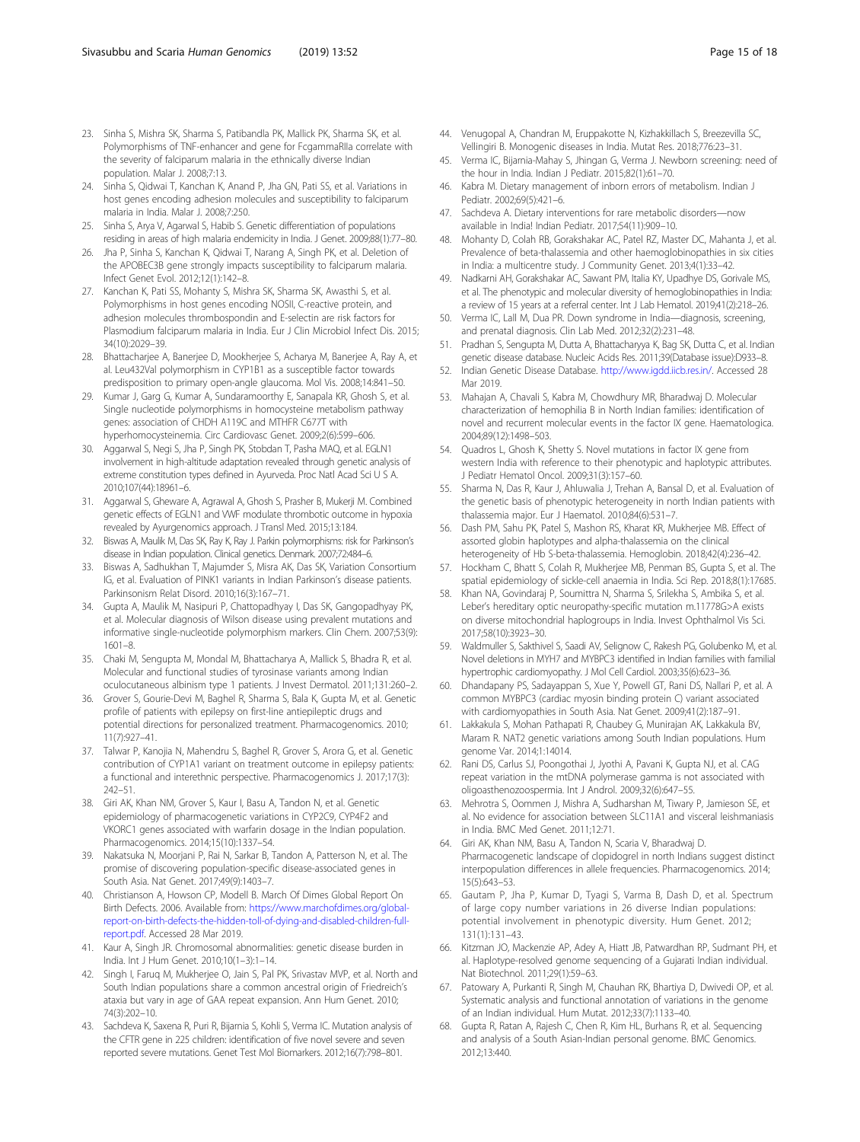- <span id="page-14-0"></span>23. Sinha S, Mishra SK, Sharma S, Patibandla PK, Mallick PK, Sharma SK, et al. Polymorphisms of TNF-enhancer and gene for FcgammaRIIa correlate with the severity of falciparum malaria in the ethnically diverse Indian population. Malar J. 2008;7:13.
- 24. Sinha S, Qidwai T, Kanchan K, Anand P, Jha GN, Pati SS, et al. Variations in host genes encoding adhesion molecules and susceptibility to falciparum malaria in India. Malar J. 2008;7:250.
- 25. Sinha S, Arya V, Agarwal S, Habib S. Genetic differentiation of populations residing in areas of high malaria endemicity in India. J Genet. 2009;88(1):77–80.
- 26. Jha P, Sinha S, Kanchan K, Qidwai T, Narang A, Singh PK, et al. Deletion of the APOBEC3B gene strongly impacts susceptibility to falciparum malaria. Infect Genet Evol. 2012;12(1):142–8.
- 27. Kanchan K, Pati SS, Mohanty S, Mishra SK, Sharma SK, Awasthi S, et al. Polymorphisms in host genes encoding NOSII, C-reactive protein, and adhesion molecules thrombospondin and E-selectin are risk factors for Plasmodium falciparum malaria in India. Eur J Clin Microbiol Infect Dis. 2015; 34(10):2029–39.
- 28. Bhattacharjee A, Banerjee D, Mookherjee S, Acharya M, Banerjee A, Ray A, et al. Leu432Val polymorphism in CYP1B1 as a susceptible factor towards predisposition to primary open-angle glaucoma. Mol Vis. 2008;14:841–50.
- 29. Kumar J, Garg G, Kumar A, Sundaramoorthy E, Sanapala KR, Ghosh S, et al. Single nucleotide polymorphisms in homocysteine metabolism pathway genes: association of CHDH A119C and MTHFR C677T with hyperhomocysteinemia. Circ Cardiovasc Genet. 2009;2(6):599–606.
- Aggarwal S, Negi S, Jha P, Singh PK, Stobdan T, Pasha MAQ, et al. EGLN1 involvement in high-altitude adaptation revealed through genetic analysis of extreme constitution types defined in Ayurveda. Proc Natl Acad Sci U S A. 2010;107(44):18961–6.
- 31. Aggarwal S, Gheware A, Agrawal A, Ghosh S, Prasher B, Mukerji M. Combined genetic effects of EGLN1 and VWF modulate thrombotic outcome in hypoxia revealed by Ayurgenomics approach. J Transl Med. 2015;13:184.
- 32. Biswas A, Maulik M, Das SK, Ray K, Ray J. Parkin polymorphisms: risk for Parkinson's disease in Indian population. Clinical genetics. Denmark. 2007;72:484–6.
- 33. Biswas A, Sadhukhan T, Majumder S, Misra AK, Das SK, Variation Consortium IG, et al. Evaluation of PINK1 variants in Indian Parkinson's disease patients. Parkinsonism Relat Disord. 2010;16(3):167–71.
- 34. Gupta A, Maulik M, Nasipuri P, Chattopadhyay I, Das SK, Gangopadhyay PK, et al. Molecular diagnosis of Wilson disease using prevalent mutations and informative single-nucleotide polymorphism markers. Clin Chem. 2007;53(9): 1601–8.
- 35. Chaki M, Sengupta M, Mondal M, Bhattacharya A, Mallick S, Bhadra R, et al. Molecular and functional studies of tyrosinase variants among Indian oculocutaneous albinism type 1 patients. J Invest Dermatol. 2011;131:260–2.
- 36. Grover S, Gourie-Devi M, Baghel R, Sharma S, Bala K, Gupta M, et al. Genetic profile of patients with epilepsy on first-line antiepileptic drugs and potential directions for personalized treatment. Pharmacogenomics. 2010; 11(7):927–41.
- 37. Talwar P, Kanojia N, Mahendru S, Baghel R, Grover S, Arora G, et al. Genetic contribution of CYP1A1 variant on treatment outcome in epilepsy patients: a functional and interethnic perspective. Pharmacogenomics J. 2017;17(3): 242–51.
- 38. Giri AK, Khan NM, Grover S, Kaur I, Basu A, Tandon N, et al. Genetic epidemiology of pharmacogenetic variations in CYP2C9, CYP4F2 and VKORC1 genes associated with warfarin dosage in the Indian population. Pharmacogenomics. 2014;15(10):1337–54.
- 39. Nakatsuka N, Moorjani P, Rai N, Sarkar B, Tandon A, Patterson N, et al. The promise of discovering population-specific disease-associated genes in South Asia. Nat Genet. 2017;49(9):1403–7.
- 40. Christianson A, Howson CP, Modell B. March Of Dimes Global Report On Birth Defects. 2006. Available from: [https://www.marchofdimes.org/global](https://www.marchofdimes.org/global-report-on-birth-defects-the-hidden-toll-of-dying-and-disabled-children-full-report.pdf)[report-on-birth-defects-the-hidden-toll-of-dying-and-disabled-children-full](https://www.marchofdimes.org/global-report-on-birth-defects-the-hidden-toll-of-dying-and-disabled-children-full-report.pdf)[report.pdf.](https://www.marchofdimes.org/global-report-on-birth-defects-the-hidden-toll-of-dying-and-disabled-children-full-report.pdf) Accessed 28 Mar 2019.
- 41. Kaur A, Singh JR. Chromosomal abnormalities: genetic disease burden in India. Int J Hum Genet. 2010;10(1–3):1–14.
- 42. Singh I, Faruq M, Mukherjee O, Jain S, Pal PK, Srivastav MVP, et al. North and South Indian populations share a common ancestral origin of Friedreich's ataxia but vary in age of GAA repeat expansion. Ann Hum Genet. 2010; 74(3):202–10.
- 43. Sachdeva K, Saxena R, Puri R, Bijarnia S, Kohli S, Verma IC. Mutation analysis of the CFTR gene in 225 children: identification of five novel severe and seven reported severe mutations. Genet Test Mol Biomarkers. 2012;16(7):798–801.
- 44. Venugopal A, Chandran M, Eruppakotte N, Kizhakkillach S, Breezevilla SC, Vellingiri B. Monogenic diseases in India. Mutat Res. 2018;776:23–31.
- 45. Verma IC, Bijarnia-Mahay S, Jhingan G, Verma J. Newborn screening: need of the hour in India. Indian J Pediatr. 2015;82(1):61–70.
- 46. Kabra M. Dietary management of inborn errors of metabolism. Indian J Pediatr. 2002;69(5):421–6.
- 47. Sachdeva A. Dietary interventions for rare metabolic disorders—now available in India! Indian Pediatr. 2017;54(11):909–10.
- 48. Mohanty D, Colah RB, Gorakshakar AC, Patel RZ, Master DC, Mahanta J, et al. Prevalence of beta-thalassemia and other haemoglobinopathies in six cities in India: a multicentre study. J Community Genet. 2013;4(1):33–42.
- 49. Nadkarni AH, Gorakshakar AC, Sawant PM, Italia KY, Upadhye DS, Gorivale MS, et al. The phenotypic and molecular diversity of hemoglobinopathies in India: a review of 15 years at a referral center. Int J Lab Hematol. 2019;41(2):218–26.
- 50. Verma IC, Lall M, Dua PR. Down syndrome in India—diagnosis, screening, and prenatal diagnosis. Clin Lab Med. 2012;32(2):231–48.
- 51. Pradhan S, Sengupta M, Dutta A, Bhattacharyya K, Bag SK, Dutta C, et al. Indian genetic disease database. Nucleic Acids Res. 2011;39(Database issue):D933–8.
- 52. Indian Genetic Disease Database. <http://www.igdd.iicb.res.in/>. Accessed 28 Mar 2019.
- 53. Mahajan A, Chavali S, Kabra M, Chowdhury MR, Bharadwaj D. Molecular characterization of hemophilia B in North Indian families: identification of novel and recurrent molecular events in the factor IX gene. Haematologica. 2004;89(12):1498–503.
- 54. Quadros L, Ghosh K, Shetty S. Novel mutations in factor IX gene from western India with reference to their phenotypic and haplotypic attributes. J Pediatr Hematol Oncol. 2009;31(3):157–60.
- 55. Sharma N, Das R, Kaur J, Ahluwalia J, Trehan A, Bansal D, et al. Evaluation of the genetic basis of phenotypic heterogeneity in north Indian patients with thalassemia major. Eur J Haematol. 2010;84(6):531–7.
- 56. Dash PM, Sahu PK, Patel S, Mashon RS, Kharat KR, Mukherjee MB. Effect of assorted globin haplotypes and alpha-thalassemia on the clinical heterogeneity of Hb S-beta-thalassemia. Hemoglobin. 2018;42(4):236–42.
- 57. Hockham C, Bhatt S, Colah R, Mukherjee MB, Penman BS, Gupta S, et al. The spatial epidemiology of sickle-cell anaemia in India. Sci Rep. 2018;8(1):17685.
- Khan NA, Govindaraj P, Soumittra N, Sharma S, Srilekha S, Ambika S, et al. Leber's hereditary optic neuropathy-specific mutation m.11778G>A exists on diverse mitochondrial haplogroups in India. Invest Ophthalmol Vis Sci. 2017;58(10):3923–30.
- 59. Waldmuller S, Sakthivel S, Saadi AV, Selignow C, Rakesh PG, Golubenko M, et al. Novel deletions in MYH7 and MYBPC3 identified in Indian families with familial hypertrophic cardiomyopathy. J Mol Cell Cardiol. 2003;35(6):623–36.
- 60. Dhandapany PS, Sadayappan S, Xue Y, Powell GT, Rani DS, Nallari P, et al. A common MYBPC3 (cardiac myosin binding protein C) variant associated with cardiomyopathies in South Asia. Nat Genet. 2009;41(2):187–91.
- 61. Lakkakula S, Mohan Pathapati R, Chaubey G, Munirajan AK, Lakkakula BV, Maram R. NAT2 genetic variations among South Indian populations. Hum genome Var. 2014;1:14014.
- 62. Rani DS, Carlus SJ, Poongothai J, Jyothi A, Pavani K, Gupta NJ, et al. CAG repeat variation in the mtDNA polymerase gamma is not associated with oligoasthenozoospermia. Int J Androl. 2009;32(6):647–55.
- 63. Mehrotra S, Oommen J, Mishra A, Sudharshan M, Tiwary P, Jamieson SE, et al. No evidence for association between SLC11A1 and visceral leishmaniasis in India. BMC Med Genet. 2011;12:71.
- 64. Giri AK, Khan NM, Basu A, Tandon N, Scaria V, Bharadwaj D. Pharmacogenetic landscape of clopidogrel in north Indians suggest distinct interpopulation differences in allele frequencies. Pharmacogenomics. 2014; 15(5):643–53.
- 65. Gautam P, Jha P, Kumar D, Tyagi S, Varma B, Dash D, et al. Spectrum of large copy number variations in 26 diverse Indian populations: potential involvement in phenotypic diversity. Hum Genet. 2012; 131(1):131–43.
- 66. Kitzman JO, Mackenzie AP, Adey A, Hiatt JB, Patwardhan RP, Sudmant PH, et al. Haplotype-resolved genome sequencing of a Gujarati Indian individual. Nat Biotechnol. 2011;29(1):59–63.
- 67. Patowary A, Purkanti R, Singh M, Chauhan RK, Bhartiya D, Dwivedi OP, et al. Systematic analysis and functional annotation of variations in the genome of an Indian individual. Hum Mutat. 2012;33(7):1133–40.
- 68. Gupta R, Ratan A, Rajesh C, Chen R, Kim HL, Burhans R, et al. Sequencing and analysis of a South Asian-Indian personal genome. BMC Genomics. 2012;13:440.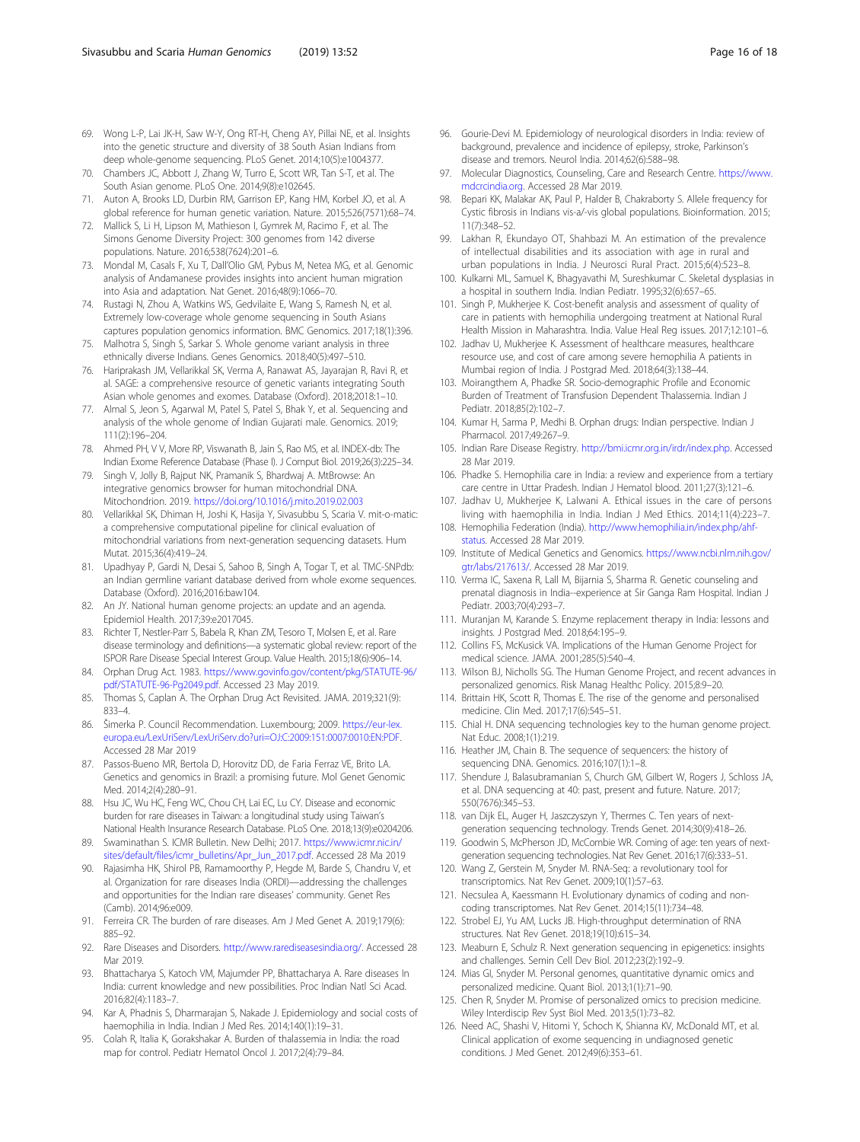- <span id="page-15-0"></span>69. Wong L-P, Lai JK-H, Saw W-Y, Ong RT-H, Cheng AY, Pillai NE, et al. Insights into the genetic structure and diversity of 38 South Asian Indians from deep whole-genome sequencing. PLoS Genet. 2014;10(5):e1004377.
- 70. Chambers JC, Abbott J, Zhang W, Turro E, Scott WR, Tan S-T, et al. The South Asian genome. PLoS One. 2014;9(8):e102645.
- 71. Auton A, Brooks LD, Durbin RM, Garrison EP, Kang HM, Korbel JO, et al. A global reference for human genetic variation. Nature. 2015;526(7571):68–74.
- 72. Mallick S, Li H, Lipson M, Mathieson I, Gymrek M, Racimo F, et al. The Simons Genome Diversity Project: 300 genomes from 142 diverse populations. Nature. 2016;538(7624):201–6.
- 73. Mondal M, Casals F, Xu T, Dall'Olio GM, Pybus M, Netea MG, et al. Genomic analysis of Andamanese provides insights into ancient human migration into Asia and adaptation. Nat Genet. 2016;48(9):1066–70.
- 74. Rustagi N, Zhou A, Watkins WS, Gedvilaite E, Wang S, Ramesh N, et al. Extremely low-coverage whole genome sequencing in South Asians captures population genomics information. BMC Genomics. 2017;18(1):396.
- 75. Malhotra S, Singh S, Sarkar S. Whole genome variant analysis in three ethnically diverse Indians. Genes Genomics. 2018;40(5):497–510.
- 76. Hariprakash JM, Vellarikkal SK, Verma A, Ranawat AS, Jayarajan R, Ravi R, et al. SAGE: a comprehensive resource of genetic variants integrating South Asian whole genomes and exomes. Database (Oxford). 2018;2018:1–10.
- 77. Almal S, Jeon S, Agarwal M, Patel S, Patel S, Bhak Y, et al. Sequencing and analysis of the whole genome of Indian Gujarati male. Genomics. 2019; 111(2):196–204.
- Ahmed PH, V V, More RP, Viswanath B, Jain S, Rao MS, et al. INDEX-db: The Indian Exome Reference Database (Phase I). J Comput Biol. 2019;26(3):225–34.
- 79. Singh V, Jolly B, Rajput NK, Pramanik S, Bhardwaj A. MtBrowse: An integrative genomics browser for human mitochondrial DNA. Mitochondrion. 2019. <https://doi.org/10.1016/j.mito.2019.02.003>
- 80. Vellarikkal SK, Dhiman H, Joshi K, Hasija Y, Sivasubbu S, Scaria V. mit-o-matic: a comprehensive computational pipeline for clinical evaluation of mitochondrial variations from next-generation sequencing datasets. Hum Mutat. 2015;36(4):419–24.
- 81. Upadhyay P, Gardi N, Desai S, Sahoo B, Singh A, Togar T, et al. TMC-SNPdb: an Indian germline variant database derived from whole exome sequences. Database (Oxford). 2016;2016:baw104.
- 82. An JY. National human genome projects: an update and an agenda. Epidemiol Health. 2017;39:e2017045.
- 83. Richter T, Nestler-Parr S, Babela R, Khan ZM, Tesoro T, Molsen E, et al. Rare disease terminology and definitions—a systematic global review: report of the ISPOR Rare Disease Special Interest Group. Value Health. 2015;18(6):906–14.
- 84. Orphan Drug Act. 1983. [https://www.govinfo.gov/content/pkg/STATUTE-96/](https://www.govinfo.gov/content/pkg/STATUTE-96/pdf/STATUTE-96-Pg2049.pdf) [pdf/STATUTE-96-Pg2049.pdf](https://www.govinfo.gov/content/pkg/STATUTE-96/pdf/STATUTE-96-Pg2049.pdf). Accessed 23 May 2019.
- 85. Thomas S, Caplan A. The Orphan Drug Act Revisited. JAMA. 2019;321(9): 833–4.
- 86. Šimerka P. Council Recommendation. Luxembourg; 2009. [https://eur-lex.](https://eur-lex.europa.eu/LexUriServ/LexUriServ.do?uri=OJ:C:2009:151:0007:0010:EN:PDF) [europa.eu/LexUriServ/LexUriServ.do?uri=OJ:C:2009:151:0007:0010:EN:PDF](https://eur-lex.europa.eu/LexUriServ/LexUriServ.do?uri=OJ:C:2009:151:0007:0010:EN:PDF). Accessed 28 Mar 2019
- 87. Passos-Bueno MR, Bertola D, Horovitz DD, de Faria Ferraz VE, Brito LA. Genetics and genomics in Brazil: a promising future. Mol Genet Genomic Med. 2014;2(4):280–91.
- 88. Hsu JC, Wu HC, Feng WC, Chou CH, Lai EC, Lu CY. Disease and economic burden for rare diseases in Taiwan: a longitudinal study using Taiwan's National Health Insurance Research Database. PLoS One. 2018;13(9):e0204206.
- 89. Swaminathan S. ICMR Bulletin. New Delhi; 2017. [https://www.icmr.nic.in/](https://www.icmr.nic.in/sites/default/files/icmr_bulletins/Apr_Jun_2017.pdf) [sites/default/files/icmr\\_bulletins/Apr\\_Jun\\_2017.pdf.](https://www.icmr.nic.in/sites/default/files/icmr_bulletins/Apr_Jun_2017.pdf) Accessed 28 Ma 2019
- 90. Rajasimha HK, Shirol PB, Ramamoorthy P, Hegde M, Barde S, Chandru V, et al. Organization for rare diseases India (ORDI)—addressing the challenges and opportunities for the Indian rare diseases' community. Genet Res (Camb). 2014;96:e009.
- 91. Ferreira CR. The burden of rare diseases. Am J Med Genet A. 2019;179(6): 885–92.
- 92. Rare Diseases and Disorders. [http://www.rarediseasesindia.org/.](http://www.rarediseasesindia.org/) Accessed 28 Mar 2019.
- 93. Bhattacharya S, Katoch VM, Majumder PP, Bhattacharya A. Rare diseases In India: current knowledge and new possibilities. Proc Indian Natl Sci Acad. 2016;82(4):1183–7.
- 94. Kar A, Phadnis S, Dharmarajan S, Nakade J. Epidemiology and social costs of haemophilia in India. Indian J Med Res. 2014;140(1):19–31.
- 95. Colah R, Italia K, Gorakshakar A. Burden of thalassemia in India: the road map for control. Pediatr Hematol Oncol J. 2017;2(4):79–84.
- 96. Gourie-Devi M. Epidemiology of neurological disorders in India: review of background, prevalence and incidence of epilepsy, stroke, Parkinson's disease and tremors. Neurol India. 2014;62(6):588–98.
- 97. Molecular Diagnostics, Counseling, Care and Research Centre. [https://www.](https://www.mdcrcindia.org) [mdcrcindia.org](https://www.mdcrcindia.org). Accessed 28 Mar 2019.
- 98. Bepari KK, Malakar AK, Paul P, Halder B, Chakraborty S. Allele frequency for Cystic fibrosis in Indians vis-a/-vis global populations. Bioinformation. 2015; 11(7):348–52.
- 99. Lakhan R, Ekundayo OT, Shahbazi M. An estimation of the prevalence of intellectual disabilities and its association with age in rural and urban populations in India. J Neurosci Rural Pract. 2015;6(4):523–8.
- 100. Kulkarni ML, Samuel K, Bhagyavathi M, Sureshkumar C. Skeletal dysplasias in a hospital in southern India. Indian Pediatr. 1995;32(6):657–65.
- 101. Singh P, Mukherjee K. Cost-benefit analysis and assessment of quality of care in patients with hemophilia undergoing treatment at National Rural Health Mission in Maharashtra. India. Value Heal Reg issues. 2017;12:101–6.
- 102. Jadhav U, Mukherjee K. Assessment of healthcare measures, healthcare resource use, and cost of care among severe hemophilia A patients in Mumbai region of India. J Postgrad Med. 2018;64(3):138–44.
- 103. Moirangthem A, Phadke SR. Socio-demographic Profile and Economic Burden of Treatment of Transfusion Dependent Thalassemia. Indian J Pediatr. 2018;85(2):102–7.
- 104. Kumar H, Sarma P, Medhi B. Orphan drugs: Indian perspective. Indian J Pharmacol. 2017;49:267–9.
- 105. Indian Rare Disease Registry. [http://bmi.icmr.org.in/irdr/index.php.](http://bmi.icmr.org.in/irdr/index.php) Accessed 28 Mar 2019.
- 106. Phadke S. Hemophilia care in India: a review and experience from a tertiary care centre in Uttar Pradesh. Indian J Hematol blood. 2011;27(3):121–6.
- 107. Jadhav U, Mukherjee K, Lalwani A. Ethical issues in the care of persons living with haemophilia in India. Indian J Med Ethics. 2014;11(4):223–7.
- 108. Hemophilia Federation (India). [http://www.hemophilia.in/index.php/ahf](http://www.hemophilia.in/index.php/ahf-status)[status](http://www.hemophilia.in/index.php/ahf-status). Accessed 28 Mar 2019.
- 109. Institute of Medical Genetics and Genomics. [https://www.ncbi.nlm.nih.gov/](https://www.ncbi.nlm.nih.gov/gtr/labs/217613/) [gtr/labs/217613/.](https://www.ncbi.nlm.nih.gov/gtr/labs/217613/) Accessed 28 Mar 2019.
- 110. Verma IC, Saxena R, Lall M, Bijarnia S, Sharma R. Genetic counseling and prenatal diagnosis in India--experience at Sir Ganga Ram Hospital. Indian J Pediatr. 2003;70(4):293–7.
- 111. Muranjan M, Karande S. Enzyme replacement therapy in India: lessons and insights. J Postgrad Med. 2018;64:195–9.
- 112. Collins FS, McKusick VA. Implications of the Human Genome Project for medical science. JAMA. 2001;285(5):540–4.
- 113. Wilson BJ, Nicholls SG. The Human Genome Project, and recent advances in personalized genomics. Risk Manag Healthc Policy. 2015;8:9–20.
- 114. Brittain HK, Scott R, Thomas E. The rise of the genome and personalised medicine. Clin Med. 2017;17(6):545–51.
- 115. Chial H. DNA sequencing technologies key to the human genome project. Nat Educ. 2008;1(1):219.
- 116. Heather JM, Chain B. The sequence of sequencers: the history of sequencing DNA. Genomics. 2016;107(1):1–8.
- 117. Shendure J, Balasubramanian S, Church GM, Gilbert W, Rogers J, Schloss JA, et al. DNA sequencing at 40: past, present and future. Nature. 2017; 550(7676):345–53.
- 118. van Dijk EL, Auger H, Jaszczyszyn Y, Thermes C. Ten years of nextgeneration sequencing technology. Trends Genet. 2014;30(9):418–26.
- 119. Goodwin S, McPherson JD, McCombie WR. Coming of age: ten years of nextgeneration sequencing technologies. Nat Rev Genet. 2016;17(6):333–51.
- 120. Wang Z, Gerstein M, Snyder M. RNA-Seq: a revolutionary tool for transcriptomics. Nat Rev Genet. 2009;10(1):57–63.
- 121. Necsulea A, Kaessmann H. Evolutionary dynamics of coding and noncoding transcriptomes. Nat Rev Genet. 2014;15(11):734–48.
- 122. Strobel EJ, Yu AM, Lucks JB. High-throughput determination of RNA structures. Nat Rev Genet. 2018;19(10):615–34.
- 123. Meaburn E, Schulz R. Next generation sequencing in epigenetics: insights and challenges. Semin Cell Dev Biol. 2012;23(2):192–9.
- 124. Mias GI, Snyder M. Personal genomes, quantitative dynamic omics and personalized medicine. Quant Biol. 2013;1(1):71–90.
- 125. Chen R, Snyder M. Promise of personalized omics to precision medicine. Wiley Interdiscip Rev Syst Biol Med. 2013;5(1):73–82.
- 126. Need AC, Shashi V, Hitomi Y, Schoch K, Shianna KV, McDonald MT, et al. Clinical application of exome sequencing in undiagnosed genetic conditions. J Med Genet. 2012;49(6):353–61.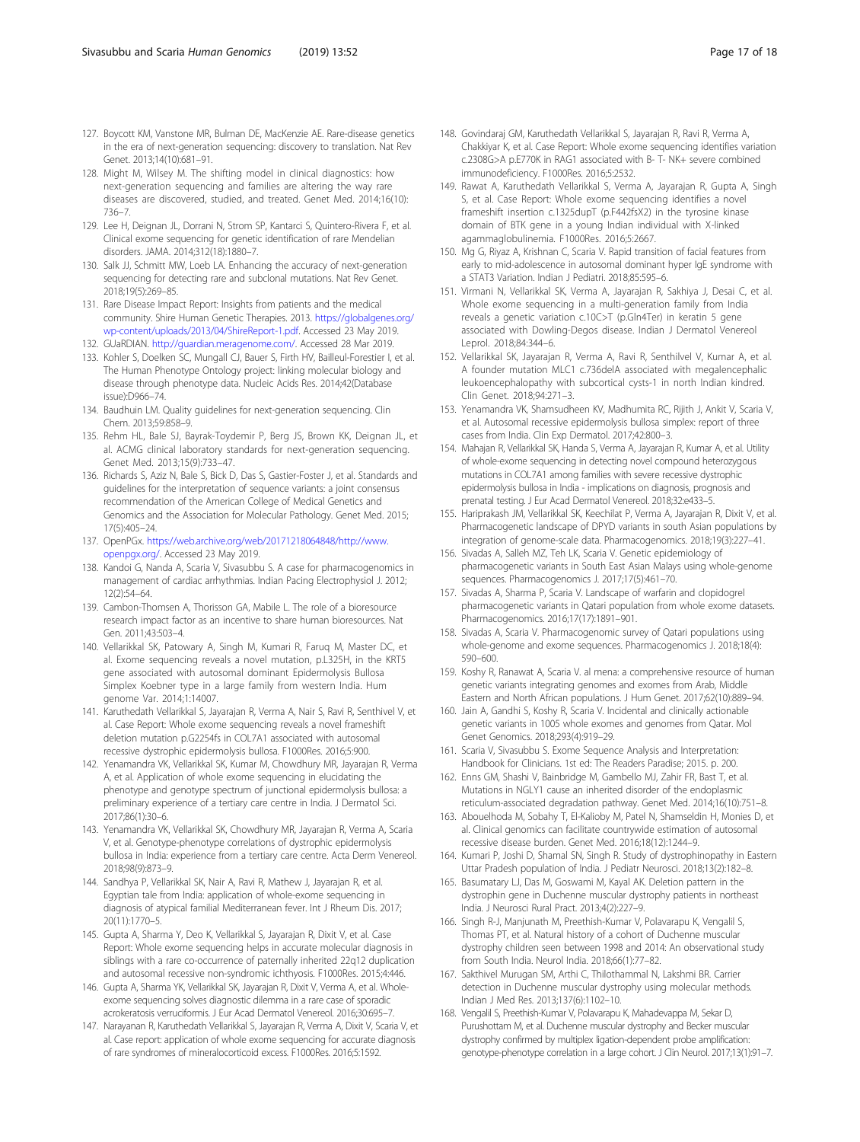- <span id="page-16-0"></span>127. Boycott KM, Vanstone MR, Bulman DE, MacKenzie AE. Rare-disease genetics in the era of next-generation sequencing: discovery to translation. Nat Rev Genet. 2013;14(10):681–91.
- 128. Might M, Wilsey M. The shifting model in clinical diagnostics: how next-generation sequencing and families are altering the way rare diseases are discovered, studied, and treated. Genet Med. 2014;16(10): 736–7.
- 129. Lee H, Deignan JL, Dorrani N, Strom SP, Kantarci S, Quintero-Rivera F, et al. Clinical exome sequencing for genetic identification of rare Mendelian disorders. JAMA. 2014;312(18):1880–7.
- 130. Salk JJ, Schmitt MW, Loeb LA. Enhancing the accuracy of next-generation sequencing for detecting rare and subclonal mutations. Nat Rev Genet. 2018;19(5):269–85.
- 131. Rare Disease Impact Report: Insights from patients and the medical community. Shire Human Genetic Therapies. 2013. [https://globalgenes.org/](https://globalgenes.org/wp-content/uploads/2013/04/ShireReport-1.pdf) [wp-content/uploads/2013/04/ShireReport-1.pdf.](https://globalgenes.org/wp-content/uploads/2013/04/ShireReport-1.pdf) Accessed 23 May 2019.
- 132. GUaRDIAN. [http://guardian.meragenome.com/.](http://guardian.meragenome.com/) Accessed 28 Mar 2019.
- 133. Kohler S, Doelken SC, Mungall CJ, Bauer S, Firth HV, Bailleul-Forestier I, et al. The Human Phenotype Ontology project: linking molecular biology and disease through phenotype data. Nucleic Acids Res. 2014;42(Database issue):D966–74.
- 134. Baudhuin LM. Quality guidelines for next-generation sequencing. Clin Chem. 2013;59:858–9.
- 135. Rehm HL, Bale SJ, Bayrak-Toydemir P, Berg JS, Brown KK, Deignan JL, et al. ACMG clinical laboratory standards for next-generation sequencing. Genet Med. 2013;15(9):733–47.
- 136. Richards S, Aziz N, Bale S, Bick D, Das S, Gastier-Foster J, et al. Standards and guidelines for the interpretation of sequence variants: a joint consensus recommendation of the American College of Medical Genetics and Genomics and the Association for Molecular Pathology. Genet Med. 2015; 17(5):405–24.
- 137. OpenPGx. [https://web.archive.org/web/20171218064848/http://www.](https://web.archive.org/web/20171218064848/http://www.openpgx.org/) [openpgx.org/.](https://web.archive.org/web/20171218064848/http://www.openpgx.org/) Accessed 23 May 2019.
- 138. Kandoi G, Nanda A, Scaria V, Sivasubbu S. A case for pharmacogenomics in management of cardiac arrhythmias. Indian Pacing Electrophysiol J. 2012; 12(2):54–64.
- 139. Cambon-Thomsen A, Thorisson GA, Mabile L. The role of a bioresource research impact factor as an incentive to share human bioresources. Nat Gen. 2011;43:503–4.
- 140. Vellarikkal SK, Patowary A, Singh M, Kumari R, Faruq M, Master DC, et al. Exome sequencing reveals a novel mutation, p.L325H, in the KRT5 gene associated with autosomal dominant Epidermolysis Bullosa Simplex Koebner type in a large family from western India. Hum genome Var. 2014;1:14007.
- 141. Karuthedath Vellarikkal S, Jayarajan R, Verma A, Nair S, Ravi R, Senthivel V, et al. Case Report: Whole exome sequencing reveals a novel frameshift deletion mutation p.G2254fs in COL7A1 associated with autosomal recessive dystrophic epidermolysis bullosa. F1000Res. 2016;5:900.
- 142. Yenamandra VK, Vellarikkal SK, Kumar M, Chowdhury MR, Jayarajan R, Verma A, et al. Application of whole exome sequencing in elucidating the phenotype and genotype spectrum of junctional epidermolysis bullosa: a preliminary experience of a tertiary care centre in India. J Dermatol Sci. 2017;86(1):30–6.
- 143. Yenamandra VK, Vellarikkal SK, Chowdhury MR, Jayarajan R, Verma A, Scaria V, et al. Genotype-phenotype correlations of dystrophic epidermolysis bullosa in India: experience from a tertiary care centre. Acta Derm Venereol. 2018;98(9):873–9.
- 144. Sandhya P, Vellarikkal SK, Nair A, Ravi R, Mathew J, Jayarajan R, et al. Egyptian tale from India: application of whole-exome sequencing in diagnosis of atypical familial Mediterranean fever. Int J Rheum Dis. 2017; 20(11):1770–5.
- 145. Gupta A, Sharma Y, Deo K, Vellarikkal S, Jayarajan R, Dixit V, et al. Case Report: Whole exome sequencing helps in accurate molecular diagnosis in siblings with a rare co-occurrence of paternally inherited 22q12 duplication and autosomal recessive non-syndromic ichthyosis. F1000Res. 2015;4:446.
- 146. Gupta A, Sharma YK, Vellarikkal SK, Jayarajan R, Dixit V, Verma A, et al. Wholeexome sequencing solves diagnostic dilemma in a rare case of sporadic acrokeratosis verruciformis. J Eur Acad Dermatol Venereol. 2016;30:695–7.
- 147. Narayanan R, Karuthedath Vellarikkal S, Jayarajan R, Verma A, Dixit V, Scaria V, et al. Case report: application of whole exome sequencing for accurate diagnosis of rare syndromes of mineralocorticoid excess. F1000Res. 2016;5:1592.
- 148. Govindaraj GM, Karuthedath Vellarikkal S, Jayarajan R, Ravi R, Verma A, Chakkiyar K, et al. Case Report: Whole exome sequencing identifies variation c.2308G>A p.E770K in RAG1 associated with B- T- NK+ severe combined immunodeficiency. F1000Res. 2016;5:2532.
- 149. Rawat A, Karuthedath Vellarikkal S, Verma A, Jayarajan R, Gupta A, Singh S, et al. Case Report: Whole exome sequencing identifies a novel frameshift insertion c.1325dupT (p.F442fsX2) in the tyrosine kinase domain of BTK gene in a young Indian individual with X-linked agammaglobulinemia. F1000Res. 2016;5:2667.
- 150. Mg G, Riyaz A, Krishnan C, Scaria V. Rapid transition of facial features from early to mid-adolescence in autosomal dominant hyper IgE syndrome with a STAT3 Variation. Indian J Pediatri. 2018;85:595–6.
- 151. Virmani N, Vellarikkal SK, Verma A, Jayarajan R, Sakhiya J, Desai C, et al. Whole exome sequencing in a multi-generation family from India reveals a genetic variation c.10C>T (p.Gln4Ter) in keratin 5 gene associated with Dowling-Degos disease. Indian J Dermatol Venereol Leprol. 2018;84:344–6.
- 152. Vellarikkal SK, Jayarajan R, Verma A, Ravi R, Senthilvel V, Kumar A, et al. A founder mutation MLC1 c.736delA associated with megalencephalic leukoencephalopathy with subcortical cysts-1 in north Indian kindred. Clin Genet. 2018;94:271–3.
- 153. Yenamandra VK, Shamsudheen KV, Madhumita RC, Rijith J, Ankit V, Scaria V, et al. Autosomal recessive epidermolysis bullosa simplex: report of three cases from India. Clin Exp Dermatol. 2017;42:800–3.
- 154. Mahajan R, Vellarikkal SK, Handa S, Verma A, Jayarajan R, Kumar A, et al. Utility of whole-exome sequencing in detecting novel compound heterozygous mutations in COL7A1 among families with severe recessive dystrophic epidermolysis bullosa in India - implications on diagnosis, prognosis and prenatal testing. J Eur Acad Dermatol Venereol. 2018;32:e433–5.
- 155. Hariprakash JM, Vellarikkal SK, Keechilat P, Verma A, Jayarajan R, Dixit V, et al. Pharmacogenetic landscape of DPYD variants in south Asian populations by integration of genome-scale data. Pharmacogenomics. 2018;19(3):227–41.
- 156. Sivadas A, Salleh MZ, Teh LK, Scaria V. Genetic epidemiology of pharmacogenetic variants in South East Asian Malays using whole-genome sequences. Pharmacogenomics J. 2017;17(5):461–70.
- 157. Sivadas A, Sharma P, Scaria V. Landscape of warfarin and clopidogrel pharmacogenetic variants in Qatari population from whole exome datasets. Pharmacogenomics. 2016;17(17):1891–901.
- 158. Sivadas A, Scaria V. Pharmacogenomic survey of Qatari populations using whole-genome and exome sequences. Pharmacogenomics J. 2018;18(4): 590–600.
- 159. Koshy R, Ranawat A, Scaria V. al mena: a comprehensive resource of human genetic variants integrating genomes and exomes from Arab, Middle Eastern and North African populations. J Hum Genet. 2017;62(10):889–94.
- 160. Jain A, Gandhi S, Koshy R, Scaria V. Incidental and clinically actionable genetic variants in 1005 whole exomes and genomes from Qatar. Mol Genet Genomics. 2018;293(4):919–29.
- 161. Scaria V, Sivasubbu S. Exome Sequence Analysis and Interpretation: Handbook for Clinicians. 1st ed: The Readers Paradise; 2015. p. 200.
- 162. Enns GM, Shashi V, Bainbridge M, Gambello MJ, Zahir FR, Bast T, et al. Mutations in NGLY1 cause an inherited disorder of the endoplasmic reticulum-associated degradation pathway. Genet Med. 2014;16(10):751–8.
- 163. Abouelhoda M, Sobahy T, El-Kalioby M, Patel N, Shamseldin H, Monies D, et al. Clinical genomics can facilitate countrywide estimation of autosomal recessive disease burden. Genet Med. 2016;18(12):1244–9.
- 164. Kumari P, Joshi D, Shamal SN, Singh R. Study of dystrophinopathy in Eastern Uttar Pradesh population of India. J Pediatr Neurosci. 2018;13(2):182–8.
- 165. Basumatary LJ, Das M, Goswami M, Kayal AK. Deletion pattern in the dystrophin gene in Duchenne muscular dystrophy patients in northeast India. J Neurosci Rural Pract. 2013;4(2):227–9.
- 166. Singh R-J, Manjunath M, Preethish-Kumar V, Polavarapu K, Vengalil S, Thomas PT, et al. Natural history of a cohort of Duchenne muscular dystrophy children seen between 1998 and 2014: An observational study from South India. Neurol India. 2018;66(1):77–82.
- 167. Sakthivel Murugan SM, Arthi C, Thilothammal N, Lakshmi BR. Carrier detection in Duchenne muscular dystrophy using molecular methods. Indian J Med Res. 2013;137(6):1102–10.
- 168. Vengalil S, Preethish-Kumar V, Polavarapu K, Mahadevappa M, Sekar D, Purushottam M, et al. Duchenne muscular dystrophy and Becker muscular dystrophy confirmed by multiplex ligation-dependent probe amplification: genotype-phenotype correlation in a large cohort. J Clin Neurol. 2017;13(1):91–7.